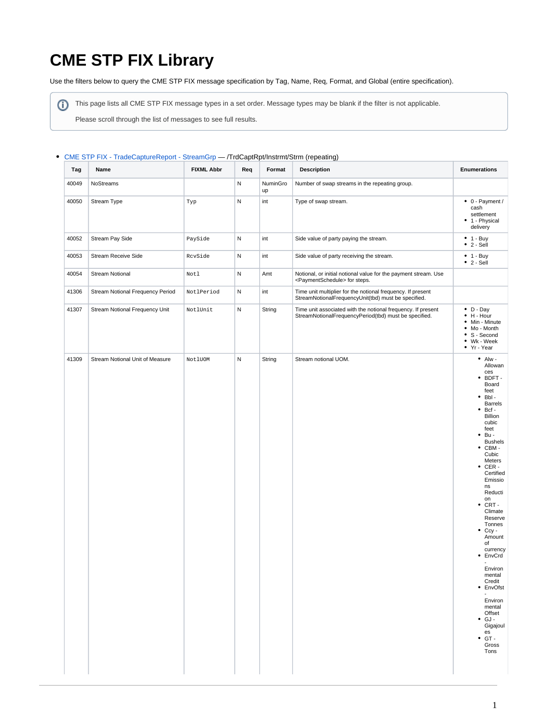# **CME STP FIX Library**

Use the filters below to query the CME STP FIX message specification by Tag, Name, Req, Format, and Global (entire specification).

⊙ This page lists all CME STP FIX message types in a set order. Message types may be blank if the filter is not applicable.

Please scroll through the list of messages to see full results.

#### [CME STP FIX - TradeCaptureReport - StreamGrp](https://www.cmegroup.com/confluence/display/EPICSANDBOX/CME+STP+FIX+-+TradeCaptureReport+-+StreamGrp) — /TrdCaptRpt/Instrmt/Strm (repeating)

| Tag   | Name                             | <b>FIXML Abbr</b> | Req | Format         | <b>Description</b>                                                                                                    | <b>Enumerations</b>                                                                                                                                                                                                                                                                                                                                                                                                                                                                                                                |
|-------|----------------------------------|-------------------|-----|----------------|-----------------------------------------------------------------------------------------------------------------------|------------------------------------------------------------------------------------------------------------------------------------------------------------------------------------------------------------------------------------------------------------------------------------------------------------------------------------------------------------------------------------------------------------------------------------------------------------------------------------------------------------------------------------|
| 40049 | NoStreams                        |                   | N   | NuminGro<br>up | Number of swap streams in the repeating group.                                                                        |                                                                                                                                                                                                                                                                                                                                                                                                                                                                                                                                    |
| 40050 | Stream Type                      | Typ               | N   | int            | Type of swap stream.                                                                                                  | $\bullet$ 0 - Payment /<br>cash<br>settlement<br>• 1 - Physical<br>delivery                                                                                                                                                                                                                                                                                                                                                                                                                                                        |
| 40052 | Stream Pay Side                  | PaySide           | N   | int            | Side value of party paying the stream.                                                                                | $• 1 - Buy$<br>٠<br>2 - Sell                                                                                                                                                                                                                                                                                                                                                                                                                                                                                                       |
| 40053 | <b>Stream Receive Side</b>       | RcvSide           | N   | int            | Side value of party receiving the stream.                                                                             | $• 1 - Buy$<br>$\bullet$ 2 - Sell                                                                                                                                                                                                                                                                                                                                                                                                                                                                                                  |
| 40054 | <b>Stream Notional</b>           | Notl              | N   | Amt            | Notional, or initial notional value for the payment stream. Use<br><paymentschedule> for steps.</paymentschedule>     |                                                                                                                                                                                                                                                                                                                                                                                                                                                                                                                                    |
| 41306 | Stream Notional Frequency Period | NotlPeriod        | N   | int            | Time unit multiplier for the notional frequency. If present<br>StreamNotionalFrequencyUnit(tbd) must be specified.    |                                                                                                                                                                                                                                                                                                                                                                                                                                                                                                                                    |
| 41307 | Stream Notional Frequency Unit   | NotlUnit          | N   | String         | Time unit associated with the notional frequency. If present<br>StreamNotionalFrequencyPeriod(tbd) must be specified. | $\bullet$ D - Day<br>H - Hour<br>$\bullet$<br>Min - Minute<br>Mo - Month<br>S - Second<br>$\bullet$<br>• Wk - Week<br>• Yr - Year                                                                                                                                                                                                                                                                                                                                                                                                  |
| 41309 | Stream Notional Unit of Measure  | NotlUOM           | N   | String         | Stream notional UOM.                                                                                                  | $\bullet$ Alw -<br>Allowan<br>ces<br>BDFT -<br>٠<br>Board<br>feet<br>Bbl-<br>۰<br><b>Barrels</b><br>Bcf -<br>٠<br><b>Billion</b><br>cubic<br>feet<br>Bu -<br>٠<br><b>Bushels</b><br>CBM-<br>٠<br>Cubic<br>Meters<br>$\bullet$ CER -<br>Certified<br>Emissio<br>ns<br>Reducti<br>on<br>CRT -<br>٠<br>Climate<br>Reserve<br>Tonnes<br>Ccy -<br>٠<br>Amount<br>of<br>currency<br>• EnvCrd<br>Environ<br>mental<br>Credit<br>• EnvOfst<br>÷.<br>Environ<br>mental<br>Offset<br>GJ-<br>٠<br>Gigajoul<br>es<br>GT-<br>٠<br>Gross<br>Tons |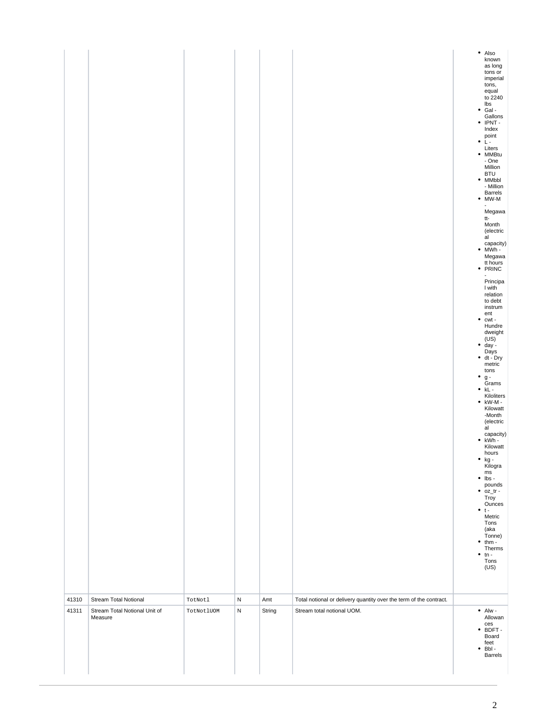| 41310 | Stream Total Notional         | TotNotl    | N         | Amt    | Total notional or delivery quantity over the term of the contract. | tons,<br>equal<br>to 2240<br>lbs<br>$\bullet$ Gal -<br>Gallons<br>$\bullet$ IPNT -<br>Index<br>point<br>$\cdot$ L-<br>Liters<br>· MMBtu<br>- One<br>Million<br><b>BTU</b><br>$•$ MMbbl<br>- Million<br>Barrels<br>$• MW-M$<br>Megawa<br>tt-<br>Month<br>(electric<br>al<br>capacity)<br>$\bullet$ MWh -<br>Megawa<br>tt hours<br>• PRINC<br>$\overline{\phantom{a}}$<br>Principa<br>I with<br>relation<br>to debt<br>instrum<br>ent<br>٠<br>cwt -<br>Hundre<br>dweight<br>(US)<br>$\bullet$ day -<br>Days<br>$\bullet$ dt - Dry<br>metric<br>tons<br>٠<br>g -<br>Grams<br>$\bullet$ kL -<br>Kiloliters<br>$\bullet$ kW-M -<br>Kilowatt<br>-Month<br>(electric<br>al<br>capacity)<br>• kWh -<br>Kilowatt<br>hours<br>● kg -<br>Kilogra<br>$\mathsf{ms}$<br>lbs -<br>$\bullet$<br>pounds<br>$\bullet$ $oz_tr$ -<br>Troy<br>Ounces<br>$• t -$<br>Metric<br>Tons<br>(aka<br>Tonne)<br>thm -<br>٠<br>Therms<br>$\cdot$ tn -<br>Tons<br>(US) |
|-------|-------------------------------|------------|-----------|--------|--------------------------------------------------------------------|----------------------------------------------------------------------------------------------------------------------------------------------------------------------------------------------------------------------------------------------------------------------------------------------------------------------------------------------------------------------------------------------------------------------------------------------------------------------------------------------------------------------------------------------------------------------------------------------------------------------------------------------------------------------------------------------------------------------------------------------------------------------------------------------------------------------------------------------------------------------------------------------------------------------------------------|
| 41311 | Stream Total Notional Unit of | TotNotlUOM | ${\sf N}$ | String | Stream total notional UOM.                                         | $\bullet$ Alw -                                                                                                                                                                                                                                                                                                                                                                                                                                                                                                                                                                                                                                                                                                                                                                                                                                                                                                                        |
|       | Measure                       |            |           |        |                                                                    | Allowan<br>ces<br>$\bullet$ BDFT -<br>Board<br>feet<br>$\bullet$ Bbl-<br>Barrels                                                                                                                                                                                                                                                                                                                                                                                                                                                                                                                                                                                                                                                                                                                                                                                                                                                       |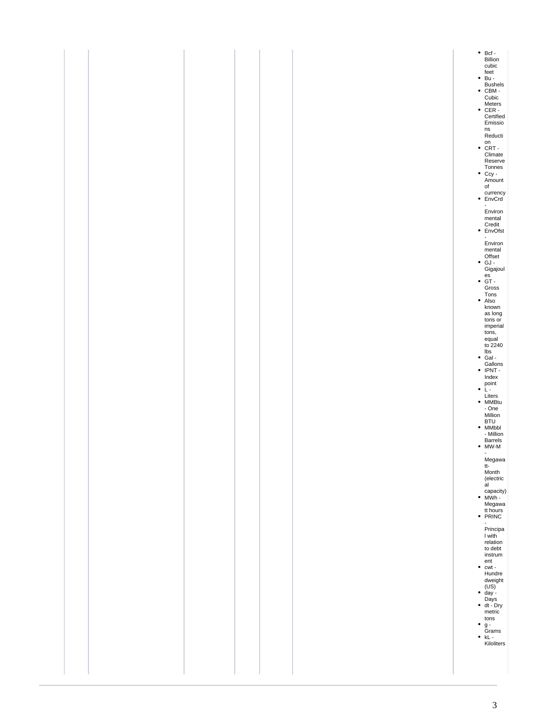| ٠ | $\cdot$ Bcf -<br>Billion<br>cubic<br>$\bullet$ feet<br>$\bullet$ Bu -<br><b>Bushels</b><br>$\bullet$ CBM -<br>Cubic<br>Meters<br>• CER -<br>Certified<br>Emissio<br>ns<br>Reducti<br>$\bullet$ CRT.<br>Climate<br>Reserve<br>Tonnes<br>• Ccy -<br>Amount<br>of<br>currency<br>$•$ EnvCrd<br>$\overline{a}$<br>Environ<br>mental<br>Credit<br>• EnvOfst<br>$\blacksquare$<br>Environ<br>mental<br>Offset<br>$\bullet$ GJ -<br>Gigajoul<br>$\cdot$ es<br>$\cdot$ GT -<br>Gross<br>$\begin{array}{c}\n\text{Tons} \\ \bullet \quad \text{Also}\n\end{array}$<br>known<br>as long<br>tons or<br>imperial<br>tons,<br>equal<br>to 2240<br>lbs<br>$\bullet$ Gal -<br>Gallons<br>• IPNT -<br>Index<br>$\bullet$ point $\bullet$<br>Liters<br>• MMBtu<br>$- One$<br>Million<br>BTU<br>• MMbbl<br>- Million<br>Barrels<br>$\bullet$ MW-M<br>$\blacksquare$<br>Megawa<br>tt-<br>Month<br>(electric<br>al<br>capacity)<br>$\bullet$ MWh -<br>Megawa<br>tt hours<br>• PRINC<br>$\blacksquare$<br>Principa<br>I with<br>relation<br>to debt<br>instrum<br>ent<br>$\bullet$ cwt -<br>Hundre<br>$\begin{array}{c}\n\text{dweight} \\ (\text{US}) \\ \bullet \ \text{day} - \end{array}$<br>Days<br>$\bullet$ dt - Dry<br>metric<br>tons<br>g -<br>Grams<br>$\bullet$ kL -<br>Kiloliters |
|---|--------------------------------------------------------------------------------------------------------------------------------------------------------------------------------------------------------------------------------------------------------------------------------------------------------------------------------------------------------------------------------------------------------------------------------------------------------------------------------------------------------------------------------------------------------------------------------------------------------------------------------------------------------------------------------------------------------------------------------------------------------------------------------------------------------------------------------------------------------------------------------------------------------------------------------------------------------------------------------------------------------------------------------------------------------------------------------------------------------------------------------------------------------------------------------------------------------------------------------------------------------------------------|
|---|--------------------------------------------------------------------------------------------------------------------------------------------------------------------------------------------------------------------------------------------------------------------------------------------------------------------------------------------------------------------------------------------------------------------------------------------------------------------------------------------------------------------------------------------------------------------------------------------------------------------------------------------------------------------------------------------------------------------------------------------------------------------------------------------------------------------------------------------------------------------------------------------------------------------------------------------------------------------------------------------------------------------------------------------------------------------------------------------------------------------------------------------------------------------------------------------------------------------------------------------------------------------------|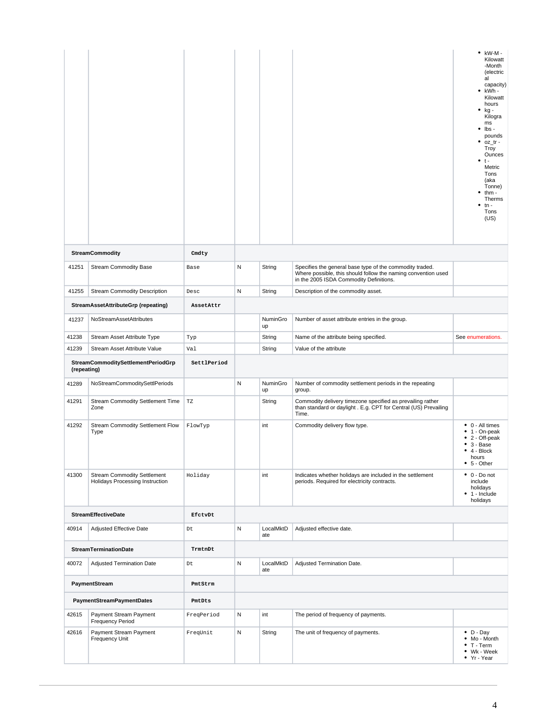|             |                                                                       |                         |   |                  |                                                                                                                                                                      | $\bullet$ kW-M -<br>Kilowatt<br>-Month<br>(electric<br>al<br>capacity)<br>kWh -<br>Kilowatt<br>hours<br>kg -<br>٠<br>Kilogra<br>ms<br>lbs -<br>٠<br>pounds<br>oz tr-<br>Troy<br>Ounces<br>$\bullet$ t-<br>Metric<br>Tons<br>(aka<br>Tonne)<br>thm -<br>Therms<br>$tn -$<br>Tons<br>(US) |
|-------------|-----------------------------------------------------------------------|-------------------------|---|------------------|----------------------------------------------------------------------------------------------------------------------------------------------------------------------|-----------------------------------------------------------------------------------------------------------------------------------------------------------------------------------------------------------------------------------------------------------------------------------------|
|             | <b>StreamCommodity</b>                                                | Cmdty                   |   |                  |                                                                                                                                                                      |                                                                                                                                                                                                                                                                                         |
| 41251       | <b>Stream Commodity Base</b>                                          | Base                    | N | String           | Specifies the general base type of the commodity traded.<br>Where possible, this should follow the naming convention used<br>in the 2005 ISDA Commodity Definitions. |                                                                                                                                                                                                                                                                                         |
| 41255       | <b>Stream Commodity Description</b>                                   | Desc                    | N | String           | Description of the commodity asset.                                                                                                                                  |                                                                                                                                                                                                                                                                                         |
|             | StreamAssetAttributeGrp (repeating)                                   | AssetAttr               |   |                  |                                                                                                                                                                      |                                                                                                                                                                                                                                                                                         |
| 41237       | NoStreamAssetAttributes                                               |                         |   | NuminGro<br>up   | Number of asset attribute entries in the group.                                                                                                                      |                                                                                                                                                                                                                                                                                         |
| 41238       | Stream Asset Attribute Type                                           | Typ                     |   | String           | Name of the attribute being specified.                                                                                                                               | See enumerations.                                                                                                                                                                                                                                                                       |
| 41239       | Stream Asset Attribute Value                                          | Val                     |   | String           | Value of the attribute                                                                                                                                               |                                                                                                                                                                                                                                                                                         |
| (repeating) | StreamCommoditySettlementPeriodGrp                                    | SettlPeriod             |   |                  |                                                                                                                                                                      |                                                                                                                                                                                                                                                                                         |
| 41289       | NoStreamCommoditySettlPeriods                                         |                         | N | NuminGro<br>up   | Number of commodity settlement periods in the repeating<br>group.                                                                                                    |                                                                                                                                                                                                                                                                                         |
| 41291       | Stream Commodity Settlement Time<br>Zone                              | $\mathbb{T} \mathbb{Z}$ |   | String           | Commodity delivery timezone specified as prevailing rather<br>than standard or daylight . E.g. CPT for Central (US) Prevailing<br>Time.                              |                                                                                                                                                                                                                                                                                         |
| 41292       | Stream Commodity Settlement Flow<br>Type                              | FlowTyp                 |   | int              | Commodity delivery flow type.                                                                                                                                        | • 0 - All times<br>1 - On-peak                                                                                                                                                                                                                                                          |
|             |                                                                       |                         |   |                  |                                                                                                                                                                      | $\bullet$ 2 - Off-peak<br>$• 3 - Base$<br>$\bullet$ 4 - Block<br>hours<br>$• 5 - Other$                                                                                                                                                                                                 |
| 41300       | <b>Stream Commodity Settlement</b><br>Holidays Processing Instruction | Holiday                 |   | int              | Indicates whether holidays are included in the settlement<br>periods. Required for electricity contracts.                                                            | $\bullet$ 0 - Do not<br>include<br>holidays<br>1 - Include<br>٠<br>holidays                                                                                                                                                                                                             |
|             | <b>StreamEffectiveDate</b>                                            | EfctvDt                 |   |                  |                                                                                                                                                                      |                                                                                                                                                                                                                                                                                         |
| 40914       | <b>Adjusted Effective Date</b>                                        | Dt                      | N | LocalMktD<br>ate | Adjusted effective date.                                                                                                                                             |                                                                                                                                                                                                                                                                                         |
|             | <b>StreamTerminationDate</b>                                          | TrmtnDt                 |   |                  |                                                                                                                                                                      |                                                                                                                                                                                                                                                                                         |
| 40072       | Adjusted Termination Date                                             | Dt                      | N | LocalMktD<br>ate | Adjusted Termination Date.                                                                                                                                           |                                                                                                                                                                                                                                                                                         |
|             | PaymentStream                                                         | PmtStrm                 |   |                  |                                                                                                                                                                      |                                                                                                                                                                                                                                                                                         |
|             | <b>PaymentStreamPaymentDates</b>                                      | PmtDts                  |   |                  |                                                                                                                                                                      |                                                                                                                                                                                                                                                                                         |
| 42615       | Payment Stream Payment<br>Frequency Period                            | FreqPeriod              | N | int              | The period of frequency of payments.                                                                                                                                 |                                                                                                                                                                                                                                                                                         |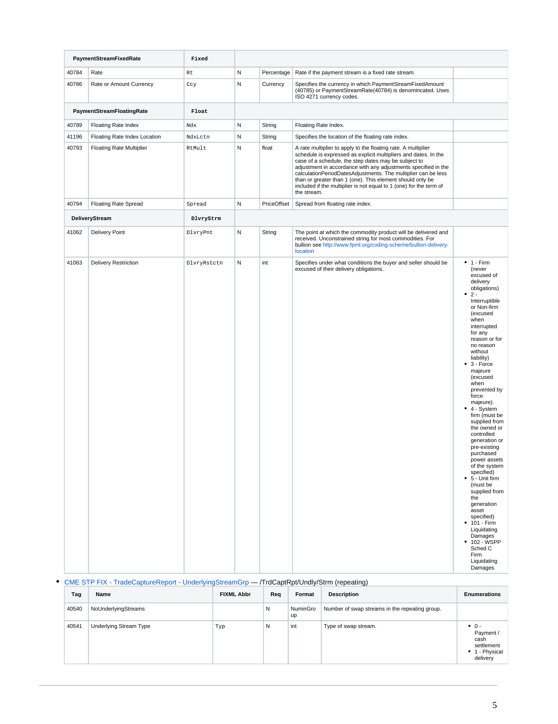|       | PaymentStreamFixedRate          | Fixed       |              |             |                                                                                                                                                                                                                                                                                                                                                                                                                                                                               |                                                                                                                                                                                                                                                                                                                                                                                                                                                                                                                                                                                                                                                                                                    |  |
|-------|---------------------------------|-------------|--------------|-------------|-------------------------------------------------------------------------------------------------------------------------------------------------------------------------------------------------------------------------------------------------------------------------------------------------------------------------------------------------------------------------------------------------------------------------------------------------------------------------------|----------------------------------------------------------------------------------------------------------------------------------------------------------------------------------------------------------------------------------------------------------------------------------------------------------------------------------------------------------------------------------------------------------------------------------------------------------------------------------------------------------------------------------------------------------------------------------------------------------------------------------------------------------------------------------------------------|--|
| 40784 | Rate                            | Rt          | N            | Percentage  | Rate if the payment stream is a fixed rate stream.                                                                                                                                                                                                                                                                                                                                                                                                                            |                                                                                                                                                                                                                                                                                                                                                                                                                                                                                                                                                                                                                                                                                                    |  |
| 40786 | Rate or Amount Currency         | Ccy         | $\mathsf{N}$ | Currency    | Specifies the currency in which PaymentStreamFixedAmount<br>(40785) or PaymentStreamRate(40784) is denomincated. Uses<br>ISO 4271 currency codes.                                                                                                                                                                                                                                                                                                                             |                                                                                                                                                                                                                                                                                                                                                                                                                                                                                                                                                                                                                                                                                                    |  |
|       | PaymentStreamFloatingRate       | Float       |              |             |                                                                                                                                                                                                                                                                                                                                                                                                                                                                               |                                                                                                                                                                                                                                                                                                                                                                                                                                                                                                                                                                                                                                                                                                    |  |
| 40789 | Floating Rate Index             | Ndx         | N            | String      | Floating Rate Index.                                                                                                                                                                                                                                                                                                                                                                                                                                                          |                                                                                                                                                                                                                                                                                                                                                                                                                                                                                                                                                                                                                                                                                                    |  |
| 41196 | Floating Rate Index Location    | NdxLctn     | N            | String      | Specifies the location of the floating rate index.                                                                                                                                                                                                                                                                                                                                                                                                                            |                                                                                                                                                                                                                                                                                                                                                                                                                                                                                                                                                                                                                                                                                                    |  |
| 40793 | <b>Floating Rate Multiplier</b> | RtMult      | ${\sf N}$    | float       | A rate multiplier to apply to the floating rate. A multiplier<br>schedule is expressed as explicit multipliers and dates. In the<br>case of a schedule, the step dates may be subject to<br>adjustment in accordance with any adjustments specified in the<br>calculationPeriodDatesAdjustments. The multiplier can be less<br>than or greater than 1 (one). This element should only be<br>included if the multiplier is not equal to 1 (one) for the term of<br>the stream. |                                                                                                                                                                                                                                                                                                                                                                                                                                                                                                                                                                                                                                                                                                    |  |
| 40794 | <b>Floating Rate Spread</b>     | Spread      | N            | PriceOffset | Spread from floating rate index.                                                                                                                                                                                                                                                                                                                                                                                                                                              |                                                                                                                                                                                                                                                                                                                                                                                                                                                                                                                                                                                                                                                                                                    |  |
|       | DeliveryStream                  | DlvryStrm   |              |             |                                                                                                                                                                                                                                                                                                                                                                                                                                                                               |                                                                                                                                                                                                                                                                                                                                                                                                                                                                                                                                                                                                                                                                                                    |  |
| 41062 | <b>Delivery Point</b>           | DlvryPnt    | N            | String      | The point at which the commodity product will be delivered and<br>received. Unconstrained string for most commodities. For<br>bullion see http://www.fpml.org/coding-scheme/bullion-delivery-<br>location                                                                                                                                                                                                                                                                     |                                                                                                                                                                                                                                                                                                                                                                                                                                                                                                                                                                                                                                                                                                    |  |
| 41063 | <b>Delivery Restriction</b>     | DlvryRstctn | ${\sf N}$    | int         | Specifies under what conditions the buyer and seller should be<br>excused of their delivery obligations.                                                                                                                                                                                                                                                                                                                                                                      | $• 1 - Firm$<br>(never<br>excused of<br>delivery<br>obligations)<br>$2 -$<br>٠<br>Interruptible<br>or Non-firm<br>(excused<br>when<br>interrupted<br>for any<br>reason or for<br>no reason<br>without<br>liability)<br>$• 3 - Force$<br>majeure<br>(excused<br>when<br>prevented by<br>force<br>majeure).<br>• 4 - System<br>firm (must be<br>supplied from<br>the owned or<br>controlled<br>generation or<br>pre-existing<br>purchased<br>power assets<br>of the system<br>specified)<br>$• 5 - Unit firm$<br>(must be<br>supplied from<br>the<br>generation<br>asset<br>specified)<br>• 101 - Firm<br>Liquidating<br><b>Damages</b><br>• 102 - WSPP<br>Sched C<br>Firm<br>Liquidating<br>Damages |  |

## [CME STP FIX - TradeCaptureReport - UnderlyingStreamGrp](https://www.cmegroup.com/confluence/display/EPICSANDBOX/CME+STP+FIX+-+TradeCaptureReport+-+UnderlyingStreamGrp) — /TrdCaptRpt/Undly/Strm (repeating)

| Tag   | Name                          | <b>FIXML Abbr</b> | Req | Format         | <b>Description</b>                             | <b>Enumerations</b>                                                            |
|-------|-------------------------------|-------------------|-----|----------------|------------------------------------------------|--------------------------------------------------------------------------------|
| 40540 | NoUnderlyingStreams           |                   | N   | NuminGro<br>up | Number of swap streams in the repeating group. |                                                                                |
| 40541 | <b>Underlying Stream Type</b> | Typ               | N   | int            | Type of swap stream.                           | $\bullet$ 0 -<br>Payment /<br>cash<br>settlement<br>• 1 - Physical<br>delivery |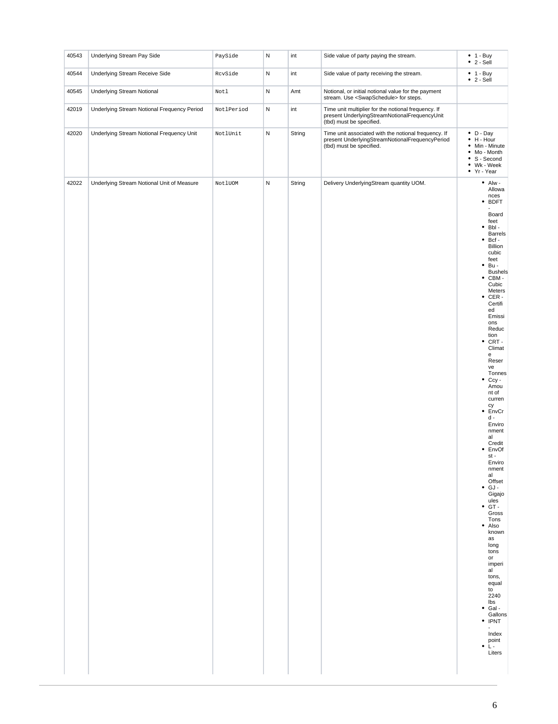| 40543 | Underlying Stream Pay Side                  | PaySide    | ${\sf N}$ | int    | Side value of party paying the stream.                                                                                              | $• 1 - Buy$<br>$\bullet$ 2 - Sell                                                                                                                                                                                                                                                                                                                                                                                                                                                                                                                                                                                                                                                                                                                                                                                      |
|-------|---------------------------------------------|------------|-----------|--------|-------------------------------------------------------------------------------------------------------------------------------------|------------------------------------------------------------------------------------------------------------------------------------------------------------------------------------------------------------------------------------------------------------------------------------------------------------------------------------------------------------------------------------------------------------------------------------------------------------------------------------------------------------------------------------------------------------------------------------------------------------------------------------------------------------------------------------------------------------------------------------------------------------------------------------------------------------------------|
| 40544 | Underlying Stream Receive Side              | RcvSide    | ${\sf N}$ | int    | Side value of party receiving the stream.                                                                                           | $• 1 - Buy$<br>$\bullet$ 2 - Sell                                                                                                                                                                                                                                                                                                                                                                                                                                                                                                                                                                                                                                                                                                                                                                                      |
| 40545 | Underlying Stream Notional                  | Notl       | N         | Amt    | Notional, or initial notional value for the payment<br>stream. Use <swapschedule> for steps.</swapschedule>                         |                                                                                                                                                                                                                                                                                                                                                                                                                                                                                                                                                                                                                                                                                                                                                                                                                        |
| 42019 | Underlying Stream Notional Frequency Period | NotlPeriod | ${\sf N}$ | int    | Time unit multiplier for the notional frequency. If<br>present UnderlyingStreamNotionalFrequencyUnit<br>(tbd) must be specified.    |                                                                                                                                                                                                                                                                                                                                                                                                                                                                                                                                                                                                                                                                                                                                                                                                                        |
| 42020 | Underlying Stream Notional Frequency Unit   | NotlUnit   | ${\sf N}$ | String | Time unit associated with the notional frequency. If<br>present UnderlyingStreamNotionalFrequencyPeriod<br>(tbd) must be specified. | $\bullet$ D - Day<br>$\bullet$ H - Hour<br>• Min - Minute<br>• Mo - Month<br>• S - Second<br>• Wk - Week<br>• Yr - Year                                                                                                                                                                                                                                                                                                                                                                                                                                                                                                                                                                                                                                                                                                |
| 42022 | Underlying Stream Notional Unit of Measure  | NotlUOM    | ${\sf N}$ | String | Delivery UnderlyingStream quantity UOM.                                                                                             | $\bullet$ Alw -<br>Allowa<br>nces<br>• BDFT<br>Board<br>feet<br>$\bullet$ Bbl -<br><b>Barrels</b><br>Bcf -<br>۰<br><b>Billion</b><br>cubic<br>feet<br>$•Bu -$<br><b>Bushels</b><br>$\bullet$ CBM -<br>Cubic<br>Meters<br>$\bullet$ CER -<br>Certifi<br>ed<br>Emissi<br>ons<br>Reduc<br>tion<br>CRT-<br>٠<br>Climat<br>e<br>Reser<br>ve<br>Tonnes<br>Ccy -<br>٠<br>Amou<br>nt of<br>curren<br>cy<br>EnvCr<br>٠<br>$d -$<br>Enviro<br>nment<br>al<br>Credit<br>• EnvOf<br>st -<br>Enviro<br>nment<br>al<br>Offset<br>$\bullet$ GJ -<br>Gigajo<br>ules<br>$\bullet$ GT -<br>Gross<br>Tons<br>· Also<br>known<br>as<br>long<br>tons<br>$\mathsf{or}\,$<br>imperi<br>al<br>tons,<br>equal<br>to<br>2240<br>Ibs<br>Gal -<br>٠<br>Gallons<br>• IPNT<br>Index<br>$\bullet$ point<br><br><br><br><br><br><br><br><br><br>Liters |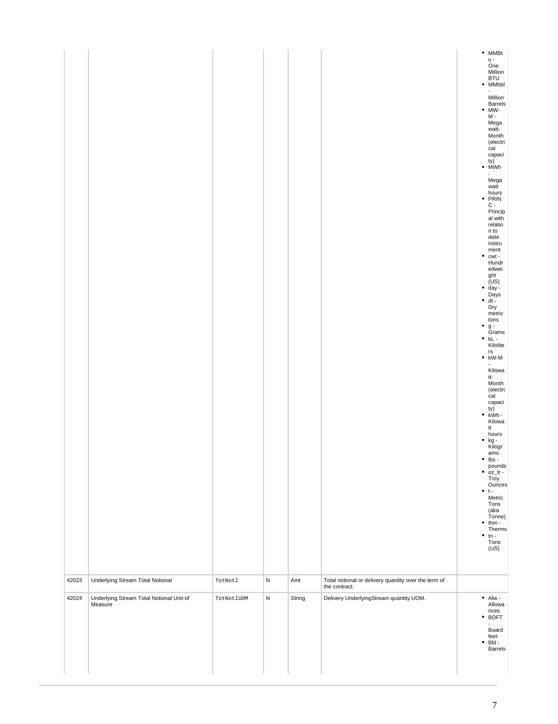|       |                                                     |            |           |        |                                                                       | $^{\bullet}$ MMBt<br>u -<br>One<br>Million<br><b>BTU</b><br>• MMbbl<br>Million<br>Barrels<br>$\bullet$ MW-<br>M -<br>Mega<br>watt-<br>Month<br>(electri<br>cal<br>capaci<br>$\begin{pmatrix} ty \\ \bullet \quad MWh \end{pmatrix}$<br>Mega<br>watt<br>$\begin{array}{c} \text{hours} \\ \bullet \text{ PRIN} \end{array}$<br>$C -$<br>Princip<br>al with<br>relatio<br>n to<br>debt<br>instru<br>ment<br>$\bullet$ cwt -<br>Hundr<br>edwei<br>ght<br>(US)<br>• day -<br>Days<br>dt -<br>٠<br>Dry<br>metric<br>tons<br>$\mathfrak g$ -<br>٠<br>Grams<br>$\bullet$ kL -<br>Kilolite<br>$\mathop{\sf rs}\nolimits$<br>$\bullet$ kW-M<br>$\overline{\phantom{0}}$<br>Kilowa<br>tt-<br>Month<br>(electri<br>cal<br>capaci<br>$\begin{array}{c} \text{ty)} \\ \bullet \text{ kWh} \end{array}$<br>Kilowa<br>tt<br>hours<br>• kg -<br>Kilogr<br>ams<br>$\mathsf{lbs}$ -<br>pounds<br>$\bullet$ $oz_tr -$<br>Troy<br>Ounces<br>$\bullet$ t-<br>Metric<br>Tons<br>(aka<br>Tonne)<br>thm -<br>٠<br>Therms<br>$\bullet$<br>$tn -$<br>Tons<br>(US) |
|-------|-----------------------------------------------------|------------|-----------|--------|-----------------------------------------------------------------------|-----------------------------------------------------------------------------------------------------------------------------------------------------------------------------------------------------------------------------------------------------------------------------------------------------------------------------------------------------------------------------------------------------------------------------------------------------------------------------------------------------------------------------------------------------------------------------------------------------------------------------------------------------------------------------------------------------------------------------------------------------------------------------------------------------------------------------------------------------------------------------------------------------------------------------------------------------------------------------------------------------------------------------------------|
| 42023 | Underlying Stream Total Notional                    | TotNotl    | ${\sf N}$ | Amt    | Total notional or delivery quantity over the term of<br>the contract. |                                                                                                                                                                                                                                                                                                                                                                                                                                                                                                                                                                                                                                                                                                                                                                                                                                                                                                                                                                                                                                         |
| 42024 | Underlying Stream Total Notional Unit of<br>Measure | TotNotlUOM | ${\sf N}$ | String | Delivery UnderlyingStream quantity UOM.                               | $\bullet$ Alw -<br>Allowa<br>nces<br>• BDFT<br>Board<br>feet<br>Bbl -<br>$\bullet$<br><b>Barrels</b>                                                                                                                                                                                                                                                                                                                                                                                                                                                                                                                                                                                                                                                                                                                                                                                                                                                                                                                                    |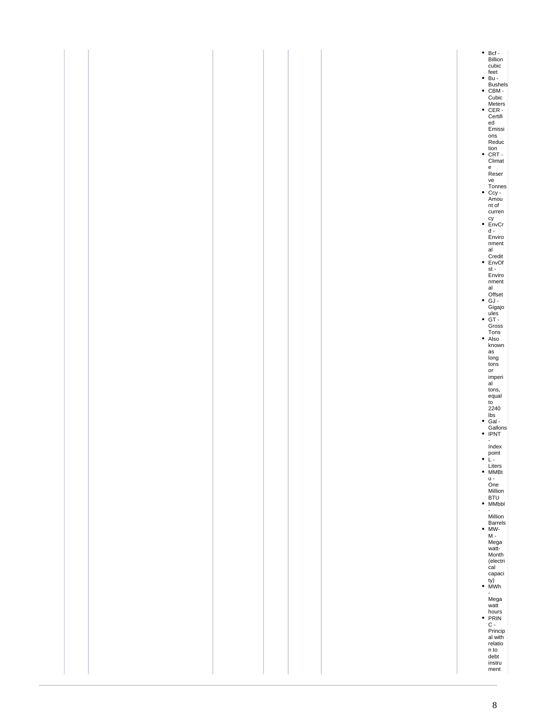|  |  |  | ● Bcf -<br>Billion<br>cubic<br>feet<br>● Bu -<br>Bushels<br>• CBM -<br>Cubic<br>Meters<br>CER -<br>Certifi<br>${\tt ed}$<br>Emissi<br>ons<br>Reduc                                                       |
|--|--|--|----------------------------------------------------------------------------------------------------------------------------------------------------------------------------------------------------------|
|  |  |  | $\begin{array}{c} \text{tion}\\ \bullet \ \ \text{CRT} \end{array}.$<br>Climat<br>e<br>Reser<br>ve<br>Tonnes<br>Ccy -<br>Amou<br>nt of<br>curren<br>$\cdot$ EnvCr<br>$\frac{d}{2}$<br>Enviro<br>$n$ ment |
|  |  |  | al<br>Credit<br>• EnvOf<br>st -<br>Enviro<br>$\mathsf{nment}$<br>al<br>Offset<br>$\bullet$ GJ -<br>Gigajo<br>ules<br>• GT -<br>Gross<br>Tons<br>• Also                                                   |
|  |  |  | known<br>$\operatorname{\sf as}$<br>$\frac{long}{tons}$<br>or<br>imperi<br>al <sup>-</sup><br>tons,<br>equal<br>to<br>$2240$<br>bs<br>• Gal -<br>• Gallons<br>• IPNT                                     |
|  |  |  | Index<br>point<br>$\bullet$ L-<br>Liters<br>$•$ MMBt<br>$u -$<br>One<br>Million<br><b>BTU</b><br>• MMbbl<br>$\blacksquare$<br>Million<br>Barrels<br>$MW$ -<br>$M -$                                      |
|  |  |  | Mega<br>watt-<br>Month<br>(electri<br>cal<br>capaci<br>ty)<br>• MWh<br>$\overline{\phantom{a}}$<br>Mega<br>watt<br>$\frac{hours}{C}$                                                                     |
|  |  |  | Princip<br>al with<br>relatio<br>n to<br>debt<br>instru<br>ment                                                                                                                                          |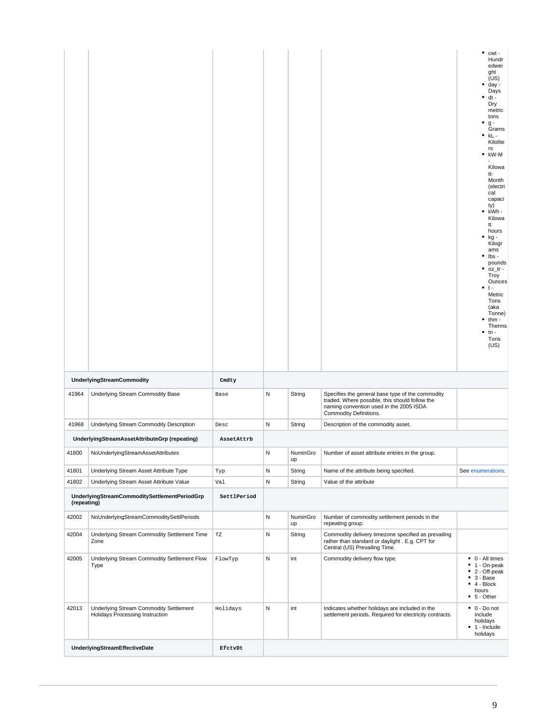|             |                                                                           |             |   |                |                                                                                                                                                                         | $\bullet$ cwt -<br>Hundr<br>edwei<br>ght<br>(US)<br>day -<br>Days<br>dt -<br>Dry<br>metric<br>tons<br>٠<br>$g -$<br>Grams<br>kL -<br>۰<br>Kilolite<br>rs<br>$\bullet$ kW-M<br>Kilowa<br>tt-<br>Month<br>(electri<br>cal<br>capaci<br>ty)<br>kWh -<br>٠<br>Kilowa<br>tt<br>hours<br>kg -<br>٠<br>Kilogr<br>ams<br>lbs -<br>pounds<br>$\bullet$ oz_tr -<br>Troy<br>Ounces<br>٠<br>$\dots$<br>Metric<br>Tons<br>(aka<br>Tonne)<br>thm -<br>Therms<br>$tn -$<br>Tons<br>(US) |
|-------------|---------------------------------------------------------------------------|-------------|---|----------------|-------------------------------------------------------------------------------------------------------------------------------------------------------------------------|--------------------------------------------------------------------------------------------------------------------------------------------------------------------------------------------------------------------------------------------------------------------------------------------------------------------------------------------------------------------------------------------------------------------------------------------------------------------------|
|             | <b>UnderlyingStreamCommodity</b>                                          | Cmdty       |   |                |                                                                                                                                                                         |                                                                                                                                                                                                                                                                                                                                                                                                                                                                          |
| 41964       | Underlying Stream Commodity Base                                          | Base        | Ν | String         | Specifies the general base type of the commodity<br>traded. Where possible, this should follow the<br>naming convention used in the 2005 ISDA<br>Commodity Definitions. |                                                                                                                                                                                                                                                                                                                                                                                                                                                                          |
| 41968       | Underlying Stream Commodity Description                                   | Desc        | Ν | String         | Description of the commodity asset.                                                                                                                                     |                                                                                                                                                                                                                                                                                                                                                                                                                                                                          |
|             | UnderlyingStreamAssetAttributeGrp (repeating)                             | AssetAttrb  |   |                |                                                                                                                                                                         |                                                                                                                                                                                                                                                                                                                                                                                                                                                                          |
| 41800       | NoUnderlyingStreamAssetAttributes                                         |             | Ν | NuminGro<br>up | Number of asset attribute entries in the group.                                                                                                                         |                                                                                                                                                                                                                                                                                                                                                                                                                                                                          |
| 41801       | Underlying Stream Asset Attribute Type                                    | Typ         | Ν | String         | Name of the attribute being specified.                                                                                                                                  | See enumerations.                                                                                                                                                                                                                                                                                                                                                                                                                                                        |
| 41802       | Underlying Stream Asset Attribute Value                                   | Val         | Ν | String         | Value of the attribute                                                                                                                                                  |                                                                                                                                                                                                                                                                                                                                                                                                                                                                          |
| (repeating) | UnderlyingStreamCommoditySettlementPeriodGrp                              | SettlPeriod |   |                |                                                                                                                                                                         |                                                                                                                                                                                                                                                                                                                                                                                                                                                                          |
| 42002       | NoUnderlyingStreamCommoditySettlPeriods                                   |             | N | NuminGro<br>up | Number of commodity settlement periods in the<br>repeating group.                                                                                                       |                                                                                                                                                                                                                                                                                                                                                                                                                                                                          |
| 42004       | Underlying Stream Commodity Settlement Time<br>Zone                       | TZ          | Ν | String         | Commodity delivery timezone specified as prevailing<br>rather than standard or daylight . E.g. CPT for<br>Central (US) Prevailing Time.                                 |                                                                                                                                                                                                                                                                                                                                                                                                                                                                          |
| 42005       | Underlying Stream Commodity Settlement Flow<br>Type                       | FlowTyp     | Ν | int            | Commodity delivery flow type.                                                                                                                                           | $\bullet$ 0 - All times<br>$\bullet$ 1 - On-peak<br>$\bullet$ 2 - Off-peak<br>$• 3 - Base$<br>$\bullet$ 4 - Block<br>hours<br>$• 5 - Other$                                                                                                                                                                                                                                                                                                                              |
| 42013       | Underlying Stream Commodity Settlement<br>Holidays Processing Instruction | Holidays    | Ν | int            | Indicates whether holidays are included in the<br>settlement periods. Required for electricity contracts.                                                               | $\bullet$ 0 - Do not<br>include<br>holidays<br>$\bullet$ 1 - Include<br>holidays                                                                                                                                                                                                                                                                                                                                                                                         |
|             | <b>UnderlyingStreamEffectiveDate</b>                                      | EfctvDt     |   |                |                                                                                                                                                                         |                                                                                                                                                                                                                                                                                                                                                                                                                                                                          |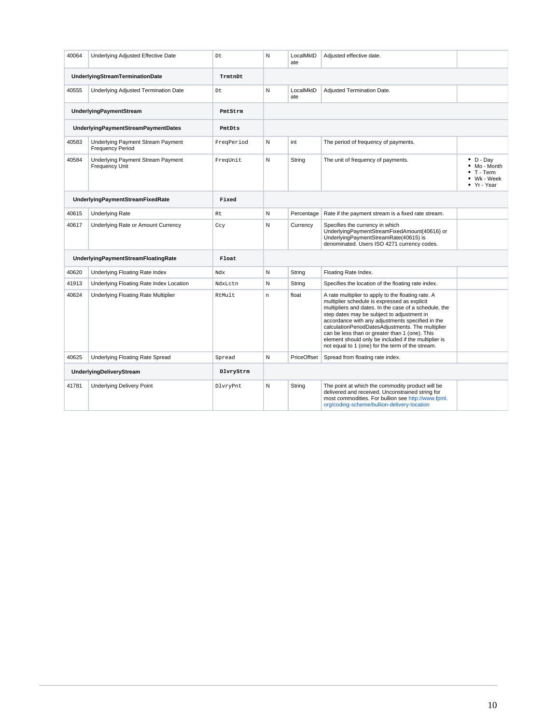| 40064                            | Underlying Adjusted Effective Date                           | Dt         | N  | LocalMktD<br>ate | Adjusted effective date.                                                                                                                                                                                                                                                                                                                                                                                                                                                         |                                                                             |
|----------------------------------|--------------------------------------------------------------|------------|----|------------------|----------------------------------------------------------------------------------------------------------------------------------------------------------------------------------------------------------------------------------------------------------------------------------------------------------------------------------------------------------------------------------------------------------------------------------------------------------------------------------|-----------------------------------------------------------------------------|
|                                  | <b>UnderlyingStreamTerminationDate</b>                       | TrmtnDt    |    |                  |                                                                                                                                                                                                                                                                                                                                                                                                                                                                                  |                                                                             |
| 40555                            | Underlying Adjusted Termination Date                         | Dt.        | N  | LocalMktD<br>ate | Adjusted Termination Date.                                                                                                                                                                                                                                                                                                                                                                                                                                                       |                                                                             |
|                                  | <b>UnderlyingPaymentStream</b>                               | PmtStrm    |    |                  |                                                                                                                                                                                                                                                                                                                                                                                                                                                                                  |                                                                             |
|                                  | UnderlyingPaymentStreamPaymentDates                          | PmtDts     |    |                  |                                                                                                                                                                                                                                                                                                                                                                                                                                                                                  |                                                                             |
| 40583                            | Underlying Payment Stream Payment<br><b>Frequency Period</b> | FreqPeriod | N  | int              | The period of frequency of payments.                                                                                                                                                                                                                                                                                                                                                                                                                                             |                                                                             |
| 40584                            | Underlying Payment Stream Payment<br>Frequency Unit          | FreqUnit   | N  | String           | The unit of frequency of payments.                                                                                                                                                                                                                                                                                                                                                                                                                                               | $\bullet$ D - Dav<br>• Mo - Month<br>T - Term<br>• Wk - Week<br>• Yr - Year |
| UnderlyingPaymentStreamFixedRate |                                                              | Fixed      |    |                  |                                                                                                                                                                                                                                                                                                                                                                                                                                                                                  |                                                                             |
| 40615                            | <b>Underlying Rate</b>                                       | Rt         | N  | Percentage       | Rate if the payment stream is a fixed rate stream.                                                                                                                                                                                                                                                                                                                                                                                                                               |                                                                             |
| 40617                            | Underlying Rate or Amount Currency                           | Ccy        | N  | Currency         | Specifies the currency in which<br>UnderlyingPaymentStreamFixedAmount(40616) or<br>UnderlyingPaymentStreamRate(40615) is<br>denominated. Users ISO 4271 currency codes.                                                                                                                                                                                                                                                                                                          |                                                                             |
|                                  | UnderlyingPaymentStreamFloatingRate                          | Float      |    |                  |                                                                                                                                                                                                                                                                                                                                                                                                                                                                                  |                                                                             |
| 40620                            | Underlying Floating Rate Index                               | Ndx        | Ν  | String           | Floating Rate Index.                                                                                                                                                                                                                                                                                                                                                                                                                                                             |                                                                             |
| 41913                            | Underlying Floating Rate Index Location                      | NdxLctn    | Ν  | String           | Specifies the location of the floating rate index.                                                                                                                                                                                                                                                                                                                                                                                                                               |                                                                             |
| 40624                            | Underlying Floating Rate Multiplier                          | RtMult.    | n. | float            | A rate multiplier to apply to the floating rate. A<br>multiplier schedule is expressed as explicit<br>multipliers and dates. In the case of a schedule, the<br>step dates may be subject to adjustment in<br>accordance with any adjustments specified in the<br>calculationPeriodDatesAdjustments. The multiplier<br>can be less than or greater than 1 (one). This<br>element should only be included if the multiplier is<br>not equal to 1 (one) for the term of the stream. |                                                                             |
| 40625                            | Underlying Floating Rate Spread                              | Spread     | N  | PriceOffset      | Spread from floating rate index.                                                                                                                                                                                                                                                                                                                                                                                                                                                 |                                                                             |
|                                  | UnderlyingDeliveryStream                                     | DlvryStrm  |    |                  |                                                                                                                                                                                                                                                                                                                                                                                                                                                                                  |                                                                             |
| 41781                            | <b>Underlying Delivery Point</b>                             | DlvryPnt   | N  | String           | The point at which the commodity product will be<br>delivered and received. Unconstrained string for<br>most commodities. For bullion see http://www.fpml.<br>org/coding-scheme/bullion-delivery-location                                                                                                                                                                                                                                                                        |                                                                             |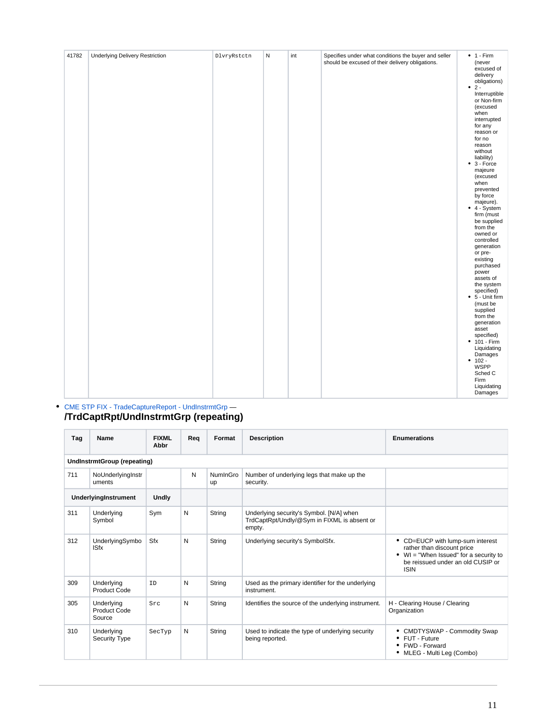| should be excused of their delivery obligations.<br>(never<br>excused of<br>delivery<br>obligations)<br>$\bullet$ 2 -<br>Interruptible<br>or Non-firm<br>(excused<br>when<br>interrupted<br>for any<br>reason or<br>for no<br>reason<br>without<br>liability)<br>$\bullet$ 3 - Force<br>majeure<br>(excused<br>when<br>prevented<br>by force<br>majeure).<br>$\bullet$ 4 - System<br>firm (must<br>be supplied<br>from the<br>owned or<br>controlled<br>generation<br>or pre-<br>existing<br>purchased<br>power<br>assets of<br>the system<br>specified)<br>$\bullet$ 5 - Unit firm<br>(must be<br>supplied<br>from the<br>generation<br>asset<br>specified)<br>$• 101 - Firm$<br>Liquidating<br>Damages<br>$• 102 -$<br><b>WSPP</b><br>Sched C<br>Firm | 41782 |                                        |             | ${\sf N}$ | int |                                                      | $• 1 - Firm$ |
|---------------------------------------------------------------------------------------------------------------------------------------------------------------------------------------------------------------------------------------------------------------------------------------------------------------------------------------------------------------------------------------------------------------------------------------------------------------------------------------------------------------------------------------------------------------------------------------------------------------------------------------------------------------------------------------------------------------------------------------------------------|-------|----------------------------------------|-------------|-----------|-----|------------------------------------------------------|--------------|
| Damages                                                                                                                                                                                                                                                                                                                                                                                                                                                                                                                                                                                                                                                                                                                                                 |       | <b>Underlying Delivery Restriction</b> | DlvryRstctn |           |     | Specifies under what conditions the buyer and seller | Liquidating  |

#### [CME STP FIX - TradeCaptureReport - UndInstrmtGrp](https://www.cmegroup.com/confluence/display/EPICSANDBOX/CME+STP+FIX+-+TradeCaptureReport+-+UndInstrmtGrp) — **/TrdCaptRpt/UndInstrmtGrp (repeating)**

| Tag | Name                                 | <b>FIXML</b><br>Abbr | Rea | Format         | <b>Description</b>                                                                                | <b>Enumerations</b>                                                                                                                                             |  |  |  |  |  |  |
|-----|--------------------------------------|----------------------|-----|----------------|---------------------------------------------------------------------------------------------------|-----------------------------------------------------------------------------------------------------------------------------------------------------------------|--|--|--|--|--|--|
|     | <b>UndInstrmtGroup (repeating)</b>   |                      |     |                |                                                                                                   |                                                                                                                                                                 |  |  |  |  |  |  |
| 711 | NoUnderlyingInstr<br>uments          |                      | N   | NumInGro<br>up | Number of underlying legs that make up the<br>security.                                           |                                                                                                                                                                 |  |  |  |  |  |  |
|     | UnderlyingInstrument                 | <b>Undly</b>         |     |                |                                                                                                   |                                                                                                                                                                 |  |  |  |  |  |  |
| 311 | Underlying<br>Symbol                 | Sym                  | N   | String         | Underlying security's Symbol. [N/A] when<br>TrdCaptRpt/Undly/@Sym in FIXML is absent or<br>empty. |                                                                                                                                                                 |  |  |  |  |  |  |
| 312 | UnderlyingSymbo<br><b>ISfx</b>       | Sfx                  | N   | String         | Underlying security's SymbolSfx.                                                                  | • CD=EUCP with lump-sum interest<br>rather than discount price<br>WI = "When Issued" for a security to<br>٠<br>be reissued under an old CUSIP or<br><b>ISIN</b> |  |  |  |  |  |  |
| 309 | Underlying<br><b>Product Code</b>    | ID                   | N   | String         | Used as the primary identifier for the underlying<br>instrument.                                  |                                                                                                                                                                 |  |  |  |  |  |  |
| 305 | Underlying<br>Product Code<br>Source | Src                  | N   | String         | Identifies the source of the underlying instrument.                                               | H - Clearing House / Clearing<br>Organization                                                                                                                   |  |  |  |  |  |  |
| 310 | Underlying<br><b>Security Type</b>   | SecTyp               | N   | String         | Used to indicate the type of underlying security<br>being reported.                               | CMDTYSWAP - Commodity Swap<br>FUT - Future<br>FWD - Forward<br>MLEG - Multi Leg (Combo)<br>٠                                                                    |  |  |  |  |  |  |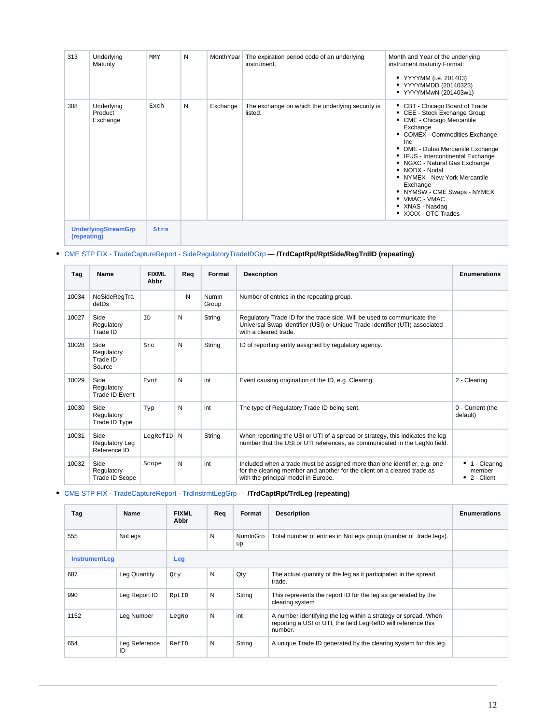| 313                                       | Underlying<br>Maturity            | <b>MMY</b> | N | MonthYear | The expiration period code of an underlying<br>instrument.  | Month and Year of the underlying<br>instrument maturity Format:<br>• YYYYMM (i.e. 201403)<br>• YYYYMMDD (20140323)<br>• YYYYMMwN (201403w1)                                                                                                                                                                                                                                                                                       |
|-------------------------------------------|-----------------------------------|------------|---|-----------|-------------------------------------------------------------|-----------------------------------------------------------------------------------------------------------------------------------------------------------------------------------------------------------------------------------------------------------------------------------------------------------------------------------------------------------------------------------------------------------------------------------|
| 308                                       | Underlying<br>Product<br>Exchange | Exch       | N | Exchange  | The exchange on which the underlying security is<br>listed. | • CBT - Chicago Board of Trade<br>• CEE - Stock Exchange Group<br>• CME - Chicago Mercantile<br>Exchange<br>• COMEX - Commodities Exchange,<br><b>Inc</b><br>DME - Dubai Mercantile Exchange<br>٠<br>• IFUS - Intercontinental Exchange<br>• NGXC - Natural Gas Exchange<br>• NODX - Nodal<br>• NYMEX - New York Mercantile<br>Exchange<br>• NYMSW - CME Swaps - NYMEX<br>• VMAC - VMAC<br>• XNAS - Nasdag<br>• XXXX - OTC Trades |
| <b>UnderlyingStreamGrp</b><br>(repeating) |                                   | Strm       |   |           |                                                             |                                                                                                                                                                                                                                                                                                                                                                                                                                   |

## [CME STP FIX - TradeCaptureReport - SideRegulatoryTradeIDGrp](https://www.cmegroup.com/confluence/display/EPICSANDBOX/CME+STP+FIX+-+TradeCaptureReport+-+SideRegulatoryTradeIDGrp) — **/TrdCaptRpt/RptSide/RegTrdID (repeating)**

| Tag   | Name                                          | <b>FIXML</b><br>Abbr | Req | Format                | <b>Description</b>                                                                                                                                                                           | <b>Enumerations</b>                                 |
|-------|-----------------------------------------------|----------------------|-----|-----------------------|----------------------------------------------------------------------------------------------------------------------------------------------------------------------------------------------|-----------------------------------------------------|
| 10034 | NoSideRegTra<br>delDs                         |                      | N   | <b>NumIn</b><br>Group | Number of entries in the repeating group.                                                                                                                                                    |                                                     |
| 10027 | Side<br>Regulatory<br>Trade ID                | ID                   | N   | String                | Regulatory Trade ID for the trade side. Will be used to communicate the<br>Universal Swap Identifier (USI) or Unique Trade Identifier (UTI) associated<br>with a cleared trade.              |                                                     |
| 10028 | Side<br>Regulatory<br>Trade ID<br>Source      | Src                  | N   | String                | ID of reporting entity assigned by regulatory agency.                                                                                                                                        |                                                     |
| 10029 | Side<br>Regulatory<br>Trade ID Event          | Evnt                 | N   | int                   | Event causing origination of the ID, e.g. Clearing.                                                                                                                                          | 2 - Clearing                                        |
| 10030 | Side<br>Regulatory<br>Trade ID Type           | Typ                  | N   | int                   | The type of Regulatory Trade ID being sent.                                                                                                                                                  | 0 - Current (the<br>default)                        |
| 10031 | Side<br><b>Regulatory Leg</b><br>Reference ID | LegRefID             | N   | String                | When reporting the USI or UTI of a spread or strategy, this indicates the leg<br>number that the USI or UTI references, as communicated in the LegNo field.                                  |                                                     |
| 10032 | Side<br>Regulatory<br>Trade ID Scope          | Scope                | N   | int                   | Included when a trade must be assigned more than one identifier, e.g. one<br>for the clearing member and another for the client on a cleared trade as<br>with the principal model in Europe. | 1 - Clearing<br>۰<br>member<br>$\bullet$ 2 - Client |

[CME STP FIX - TradeCaptureReport - TrdInstrmtLegGrp](https://www.cmegroup.com/confluence/display/EPICSANDBOX/CME+STP+FIX+-+TradeCaptureReport+-+TrdInstrmtLegGrp) — **/TrdCaptRpt/TrdLeg (repeating)**

| Tag                  | <b>Name</b>         | <b>FIXML</b><br>Abbr | Req | Format         | <b>Description</b>                                                                                                                          | <b>Enumerations</b> |
|----------------------|---------------------|----------------------|-----|----------------|---------------------------------------------------------------------------------------------------------------------------------------------|---------------------|
| 555                  | NoLegs              |                      | N   | NumInGro<br>up | Total number of entries in NoLegs group (number of trade legs).                                                                             |                     |
| <b>InstrumentLeg</b> |                     | Leg                  |     |                |                                                                                                                                             |                     |
| 687                  | Leg Quantity        | Qty                  | N   | Qty            | The actual quantity of the leg as it participated in the spread<br>trade.                                                                   |                     |
| 990                  | Leg Report ID       | RptID                | N   | String         | This represents the report ID for the leg as generated by the<br>clearing system                                                            |                     |
| 1152                 | Leg Number          | LeqNo                | N   | int            | A number identifying the leg within a strategy or spread. When<br>reporting a USI or UTI, the field LegRefID will reference this<br>number. |                     |
| 654                  | Leg Reference<br>ID | RefID                | N   | String         | A unique Trade ID generated by the clearing system for this leg.                                                                            |                     |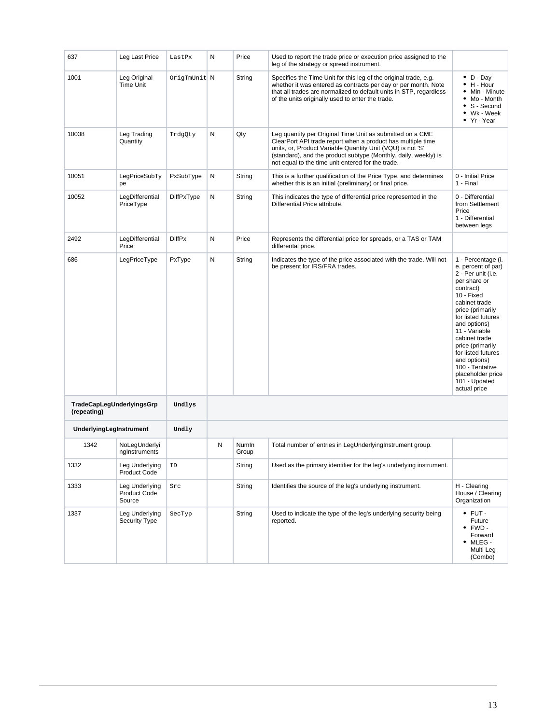| 637                                      | Leg Last Price                                  | LastPx        | N | Price          | Used to report the trade price or execution price assigned to the<br>leg of the strategy or spread instrument.                                                                                                                                                                                                 |                                                                                                                                                                                                                                                                                                                                                           |
|------------------------------------------|-------------------------------------------------|---------------|---|----------------|----------------------------------------------------------------------------------------------------------------------------------------------------------------------------------------------------------------------------------------------------------------------------------------------------------------|-----------------------------------------------------------------------------------------------------------------------------------------------------------------------------------------------------------------------------------------------------------------------------------------------------------------------------------------------------------|
| 1001                                     | Leg Original<br><b>Time Unit</b>                | OrigTmUnit N  |   | String         | Specifies the Time Unit for this leg of the original trade, e.g.<br>whether it was entered as contracts per day or per month. Note<br>that all trades are normalized to default units in STP, regardless<br>of the units originally used to enter the trade.                                                   | $\bullet$ D - Day<br>H - Hour<br>Min - Minute<br>Mo - Month<br>S - Second<br>٠<br>• Wk - Week<br>• Yr - Year                                                                                                                                                                                                                                              |
| 10038                                    | Leg Trading<br>Quantity                         | TrdgQty       | Ν | Qty            | Leg quantity per Original Time Unit as submitted on a CME<br>ClearPort API trade report when a product has multiple time<br>units, or, Product Variable Quantity Unit (VQU) is not 'S'<br>(standard), and the product subtype (Monthly, daily, weekly) is<br>not equal to the time unit entered for the trade. |                                                                                                                                                                                                                                                                                                                                                           |
| 10051                                    | LegPriceSubTy<br>pe                             | PxSubType     | N | String         | This is a further qualification of the Price Type, and determines<br>whether this is an initial (preliminary) or final price.                                                                                                                                                                                  | 0 - Initial Price<br>1 - Final                                                                                                                                                                                                                                                                                                                            |
| 10052                                    | LegDifferential<br>PriceType                    | DiffPxType    | N | String         | This indicates the type of differential price represented in the<br>Differential Price attribute.                                                                                                                                                                                                              | 0 - Differential<br>from Settlement<br>Price<br>1 - Differential<br>between legs                                                                                                                                                                                                                                                                          |
| 2492                                     | LegDifferential<br>Price                        | <b>DiffPx</b> | Ν | Price          | Represents the differential price for spreads, or a TAS or TAM<br>differental price.                                                                                                                                                                                                                           |                                                                                                                                                                                                                                                                                                                                                           |
| 686                                      | LegPriceType                                    | PxType        | N | String         | Indicates the type of the price associated with the trade. Will not<br>be present for IRS/FRA trades.                                                                                                                                                                                                          | 1 - Percentage (i.<br>e. percent of par)<br>2 - Per unit (i.e.<br>per share or<br>contract)<br>10 - Fixed<br>cabinet trade<br>price (primarily<br>for listed futures<br>and options)<br>11 - Variable<br>cabinet trade<br>price (primarily<br>for listed futures<br>and options)<br>100 - Tentative<br>placeholder price<br>101 - Updated<br>actual price |
| TradeCapLegUnderlyingsGrp<br>(repeating) |                                                 | Undlys        |   |                |                                                                                                                                                                                                                                                                                                                |                                                                                                                                                                                                                                                                                                                                                           |
| UnderlyingLegInstrument                  |                                                 | Undly         |   |                |                                                                                                                                                                                                                                                                                                                |                                                                                                                                                                                                                                                                                                                                                           |
| 1342                                     | NoLegUnderlyi<br>nglnstruments                  |               | N | NumIn<br>Group | Total number of entries in LegUnderlyingInstrument group.                                                                                                                                                                                                                                                      |                                                                                                                                                                                                                                                                                                                                                           |
| 1332                                     | Leg Underlying<br>Product Code                  | ID            |   | String         | Used as the primary identifier for the leg's underlying instrument.                                                                                                                                                                                                                                            |                                                                                                                                                                                                                                                                                                                                                           |
| 1333                                     | Leg Underlying<br><b>Product Code</b><br>Source | Src           |   | String         | Identifies the source of the leg's underlying instrument.                                                                                                                                                                                                                                                      | H - Clearing<br>House / Clearing<br>Organization                                                                                                                                                                                                                                                                                                          |
| 1337                                     | Leg Underlying<br>Security Type                 | SecTyp        |   | String         | Used to indicate the type of the leg's underlying security being<br>reported.                                                                                                                                                                                                                                  | $\bullet$ FUT -<br>Future<br>$\bullet$ FWD -<br>Forward<br>MLEG -<br>٠<br>Multi Leg<br>(Combo)                                                                                                                                                                                                                                                            |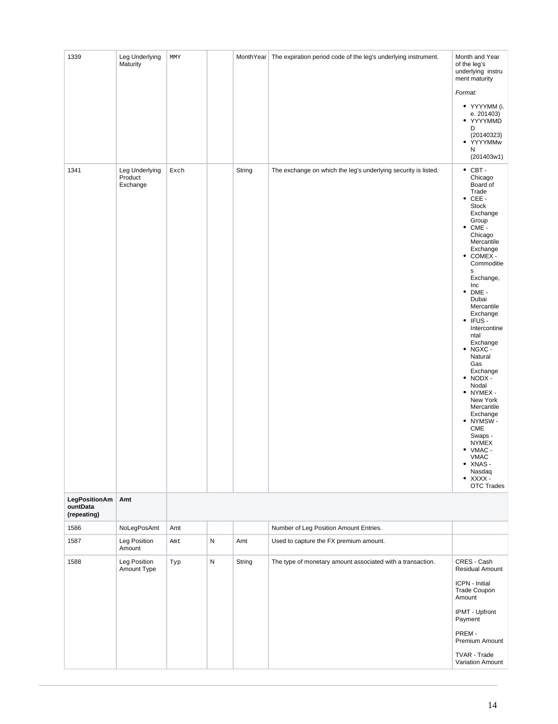| 1339                                     | Leg Underlying<br>Maturity            | MMY  |              |        | MonthYear   The expiration period code of the leg's underlying instrument. | Month and Year<br>of the leg's<br>underlying instru<br>ment maturity<br>Format:<br>• YYYYMM (i.<br>e. 201403)<br>• YYYYMMD<br>D<br>(20140323)<br>• YYYYMMw<br>N<br>(201403w1)                                                                                                                                                                                                                                                                                                                                                                                                                                     |
|------------------------------------------|---------------------------------------|------|--------------|--------|----------------------------------------------------------------------------|-------------------------------------------------------------------------------------------------------------------------------------------------------------------------------------------------------------------------------------------------------------------------------------------------------------------------------------------------------------------------------------------------------------------------------------------------------------------------------------------------------------------------------------------------------------------------------------------------------------------|
| 1341                                     | Leg Underlying<br>Product<br>Exchange | Exch |              | String | The exchange on which the leg's underlying security is listed.             | $\bullet$ CBT -<br>Chicago<br>Board of<br>Trade<br>$\bullet$ CEE -<br><b>Stock</b><br>Exchange<br>Group<br>$\bullet$ CME -<br>Chicago<br>Mercantile<br>Exchange<br>COMEX -<br>٠<br>Commoditie<br>s<br>Exchange,<br>Inc<br>$\bullet$ DME -<br>Dubai<br>Mercantile<br>Exchange<br>IFUS-<br>٠<br>Intercontine<br>ntal<br>Exchange<br>NGXC -<br>٠<br>Natural<br>Gas<br>Exchange<br>$\bullet$ NODX -<br>Nodal<br>• NYMEX -<br>New York<br>Mercantile<br>Exchange<br>• NYMSW-<br><b>CME</b><br>Swaps -<br><b>NYMEX</b><br>$\bullet$ VMAC -<br><b>VMAC</b><br>• XNAS-<br>Nasdaq<br>$\bullet$ XXXX -<br><b>OTC Trades</b> |
| LegPositionAm<br>ountData<br>(repeating) | Amt                                   |      |              |        |                                                                            |                                                                                                                                                                                                                                                                                                                                                                                                                                                                                                                                                                                                                   |
| 1586                                     | NoLegPosAmt                           | Amt  |              |        | Number of Leg Position Amount Entries.                                     |                                                                                                                                                                                                                                                                                                                                                                                                                                                                                                                                                                                                                   |
| 1587                                     | Leg Position<br>Amount                | Amt  | ${\sf N}$    | Amt    | Used to capture the FX premium amount.                                     |                                                                                                                                                                                                                                                                                                                                                                                                                                                                                                                                                                                                                   |
| 1588                                     | Leg Position<br>Amount Type           | Typ  | $\mathsf{N}$ | String | The type of monetary amount associated with a transaction.                 | CRES - Cash<br>Residual Amount<br>ICPN - Initial<br>Trade Coupon<br>Amount<br>IPMT - Upfront<br>Payment<br>PREM-<br>Premium Amount<br>TVAR - Trade<br>Variation Amount                                                                                                                                                                                                                                                                                                                                                                                                                                            |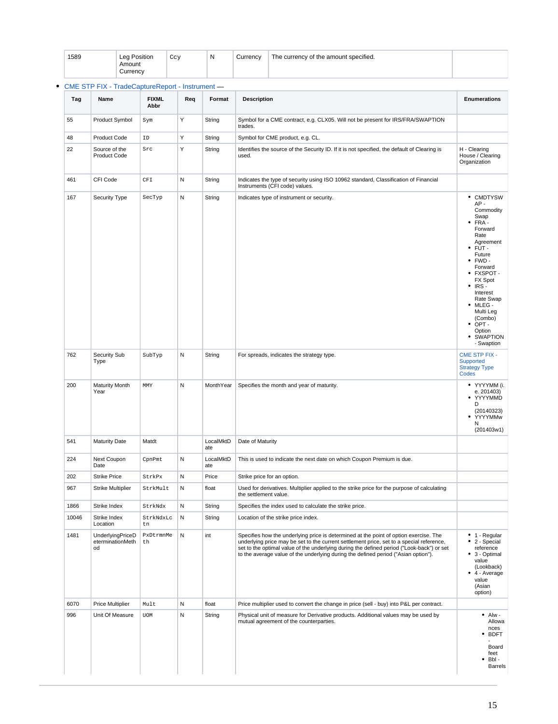| 1589 | <b>Leg Position</b> | $C_{C3}$<br>ت<br>- - | N | Currencv | e currency of the amount specified.<br><b>The</b> |  |
|------|---------------------|----------------------|---|----------|---------------------------------------------------|--|
|      | Amount              |                      |   |          |                                                   |  |
|      | Currencv            |                      |   |          |                                                   |  |

| Tag   | Name                                              | <b>FIXML</b><br>Abbr | Req | Format           | <b>Description</b>                                                                                                                                                                                                                                                                                                                                                   | <b>Enumerations</b>                                                                                                                                                                                                                                                                                           |
|-------|---------------------------------------------------|----------------------|-----|------------------|----------------------------------------------------------------------------------------------------------------------------------------------------------------------------------------------------------------------------------------------------------------------------------------------------------------------------------------------------------------------|---------------------------------------------------------------------------------------------------------------------------------------------------------------------------------------------------------------------------------------------------------------------------------------------------------------|
| 55    | <b>Product Symbol</b>                             | Sym                  | Υ   | String           | Symbol for a CME contract, e.g. CLX05. Will not be present for IRS/FRA/SWAPTION<br>trades.                                                                                                                                                                                                                                                                           |                                                                                                                                                                                                                                                                                                               |
| 48    | <b>Product Code</b>                               | ID                   | Y   | String           | Symbol for CME product, e.g. CL.                                                                                                                                                                                                                                                                                                                                     |                                                                                                                                                                                                                                                                                                               |
| 22    | Source of the<br><b>Product Code</b>              | Src                  | Υ   | String           | Identifies the source of the Security ID. If it is not specified, the default of Clearing is<br>used.                                                                                                                                                                                                                                                                | H - Clearing<br>House / Clearing<br>Organization                                                                                                                                                                                                                                                              |
| 461   | CFI Code                                          | CFT                  | N   | String           | Indicates the type of security using ISO 10962 standard, Classification of Financial<br>Instruments (CFI code) values.                                                                                                                                                                                                                                               |                                                                                                                                                                                                                                                                                                               |
| 167   | Security Type                                     | SecTyp               | N   | String           | Indicates type of instrument or security.                                                                                                                                                                                                                                                                                                                            | • CMDTYSW<br>AP-<br>Commodity<br>Swap<br>$\bullet$ FRA-<br>Forward<br>Rate<br>Agreement<br>FUT-<br>٠<br>Future<br>$\bullet$ FWD -<br>Forward<br>• FXSPOT-<br>FX Spot<br>$\cdot$ IRS -<br>Interest<br>Rate Swap<br>$•$ MLEG -<br>Multi Leg<br>(Combo)<br>$\bullet$ OPT -<br>Option<br>• SWAPTION<br>- Swaption |
| 762   | Security Sub<br>Type                              | SubTyp               | N   | String           | For spreads, indicates the strategy type.                                                                                                                                                                                                                                                                                                                            | <b>CME STP FIX -</b><br>Supported<br><b>Strategy Type</b><br>Codes                                                                                                                                                                                                                                            |
| 200   | <b>Maturity Month</b><br>Year                     | MMY                  | N   | MonthYear        | Specifies the month and year of maturity.                                                                                                                                                                                                                                                                                                                            | • YYYYMM (i.<br>e. 201403)<br>• YYYYMMD<br>D<br>(20140323)<br>• YYYYMMw<br>N<br>(201403w1)                                                                                                                                                                                                                    |
| 541   | <b>Maturity Date</b>                              | Matdt                |     | LocalMktD<br>ate | Date of Maturity                                                                                                                                                                                                                                                                                                                                                     |                                                                                                                                                                                                                                                                                                               |
| 224   | Next Coupon<br>Date                               | CpnPmt               | N   | LocalMktD<br>ate | This is used to indicate the next date on which Coupon Premium is due.                                                                                                                                                                                                                                                                                               |                                                                                                                                                                                                                                                                                                               |
| 202   | <b>Strike Price</b>                               | StrkPx               | N   | Price            | Strike price for an option.                                                                                                                                                                                                                                                                                                                                          |                                                                                                                                                                                                                                                                                                               |
| 967   | <b>Strike Multiplier</b>                          | StrkMult             | N   | float            | Used for derivatives. Multiplier applied to the strike price for the purpose of calculating<br>the settlement value.                                                                                                                                                                                                                                                 |                                                                                                                                                                                                                                                                                                               |
| 1866  | Strike Index                                      | StrkNdx              | N   | String           | Specifies the index used to calculate the strike price.                                                                                                                                                                                                                                                                                                              |                                                                                                                                                                                                                                                                                                               |
| 10046 | Strike Index<br>Location                          | StrkNdxLc<br>tn      | N   | String           | Location of the strike price index.                                                                                                                                                                                                                                                                                                                                  |                                                                                                                                                                                                                                                                                                               |
| 1481  | <b>UnderlyingPriceD</b><br>eterminationMeth<br>od | PxDtrmnMe<br>th      | N   | int              | Specifies how the underlying price is determined at the point of option exercise. The<br>underlying price may be set to the current settlement price, set to a special reference,<br>set to the optimal value of the underlying during the defined period ("Look-back") or set<br>to the average value of the underlying during the defined period ("Asian option"). | $\bullet$ 1 - Regular<br>2 - Special<br>$\bullet$<br>reference<br>• 3 - Optimal<br>value<br>(Lookback)<br>$\bullet$ 4 - Average<br>value<br>(Asian<br>option)                                                                                                                                                 |
| 6070  | <b>Price Multiplier</b>                           | Mult                 | N   | float            | Price multiplier used to convert the change in price (sell - buy) into P&L per contract.                                                                                                                                                                                                                                                                             |                                                                                                                                                                                                                                                                                                               |
| 996   | Unit Of Measure                                   | <b>UOM</b>           | N   | String           | Physical unit of measure for Derivative products. Additional values may be used by<br>mutual agreement of the counterparties.                                                                                                                                                                                                                                        | $•$ Alw -<br>Allowa<br>nces<br>• BDFT<br>Board<br>feet<br>Bbl-<br><b>Barrels</b>                                                                                                                                                                                                                              |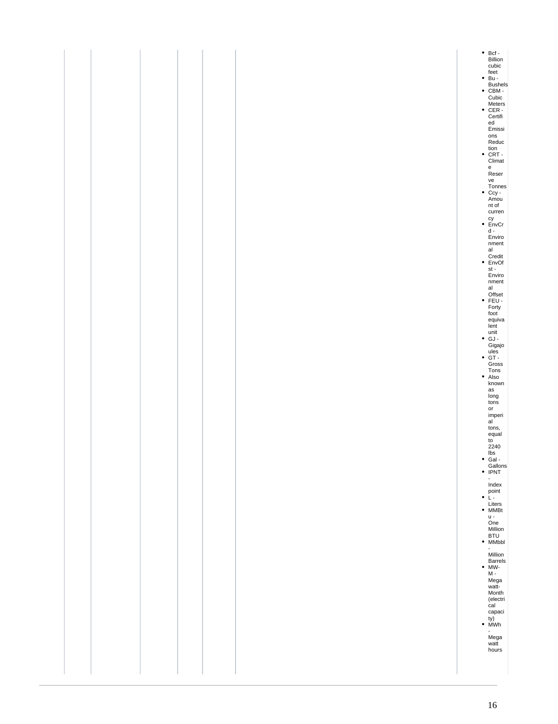| tion<br>• CRT -<br>Climat<br>e<br>Reser | ve<br>Tonnes<br>Ccy -<br>Amou<br>nt of<br>curren<br>$\bullet$ EnvCr<br>$\mathsf d$ -<br>Enviro<br>$n$ ment<br>al<br>Credit<br>• EnvOf<br>st -<br>Enviro<br>$n$ ment<br>al<br>Offset<br>• FEU -<br>Forty<br>foot<br>equiva<br>lent<br>unit<br>GJ -<br>Gigajo<br>ules<br>GT -<br>Gross<br>$\begin{array}{c}\n\text{Tons} \\ \bullet \quad \text{Also}\n\end{array}$<br>known<br>as<br>long<br>tons<br>$\mathsf{or}\,$<br>imperi<br>al<br>tons,<br>equal<br>to<br>$2240$<br>lbs<br>$\bullet$ Gal -<br>Gallons<br>• IPNT<br>$\blacksquare$<br>Index<br>$\bullet$ point $\bullet$<br>L -<br>Liters<br>• MMBt<br>u -<br>^r<br>One<br>Million<br>BTU<br>• MMbbl<br>$\overline{\phantom{a}}$<br>Million<br>Barrels<br>• MW-<br>$\mathsf{M}% _{T}=\mathsf{M}_{T}\times\mathsf{M}_{T}$ .<br>Mega<br>watt-<br>Month<br>(electri<br>$\overline{c}$ al<br>capaci<br>ty)<br>• MWh<br>$\mathcal{L}_{\mathcal{A}}$<br>Mega<br>watt<br>hours |
|-----------------------------------------|-----------------------------------------------------------------------------------------------------------------------------------------------------------------------------------------------------------------------------------------------------------------------------------------------------------------------------------------------------------------------------------------------------------------------------------------------------------------------------------------------------------------------------------------------------------------------------------------------------------------------------------------------------------------------------------------------------------------------------------------------------------------------------------------------------------------------------------------------------------------------------------------------------------------------------|
|                                         |                                                                                                                                                                                                                                                                                                                                                                                                                                                                                                                                                                                                                                                                                                                                                                                                                                                                                                                             |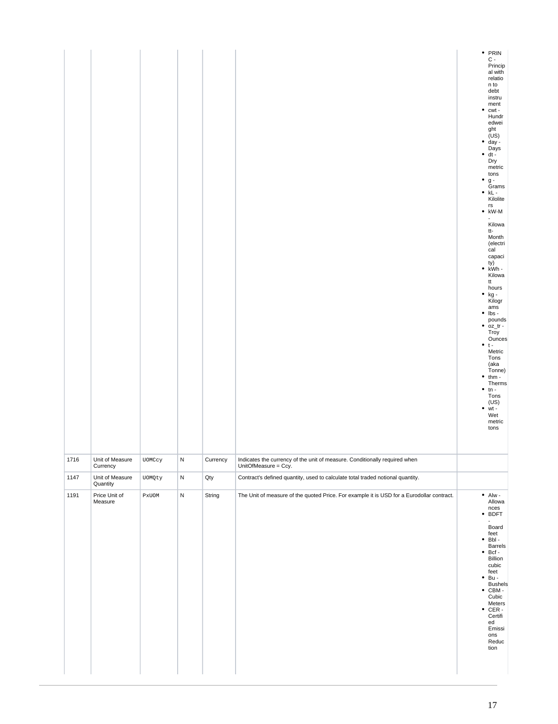|      |                             |                  |   |          |                                                                                                    | $\bullet$<br>$\bullet$<br>$\bullet$ | • $PRIN$<br>$C -$<br>$Princip$<br>$cl with$<br>al with<br>relatio<br>n to<br>debt<br>instru<br>ment<br>cwt -<br>Hundr<br>edwei<br>ght<br>(US)<br>day -<br>Days<br>$\bullet$ dt -<br>Dry<br>metric<br>tons<br>$\mathsf g$ -<br>Grams<br>$\bullet$ kL -<br>Kilolite<br>rs<br>$\bullet$ kW-M<br>Kilowa<br>tt-<br>Month<br>(electri<br>cal<br>capaci<br>ty)<br>• $kWh -$<br>Kilowa<br>tt<br>$\begin{array}{c} \text{hours} \\ \bullet \text{ kg} \end{array}$<br>Kilogr<br>ams<br>$\bullet$ lbs -<br>pounds<br>$\bullet$ oz_tr -<br>Troy<br>Ounces<br>$• t -$<br>Metric<br>Tons<br>(aka<br>Tonne)<br>$• thm -$<br>Therms $\bullet$ tn -<br>Tons<br>(US)<br>wt -<br>$\bullet$<br>Wet<br>metric<br>tons |
|------|-----------------------------|------------------|---|----------|----------------------------------------------------------------------------------------------------|-------------------------------------|---------------------------------------------------------------------------------------------------------------------------------------------------------------------------------------------------------------------------------------------------------------------------------------------------------------------------------------------------------------------------------------------------------------------------------------------------------------------------------------------------------------------------------------------------------------------------------------------------------------------------------------------------------------------------------------------------|
| 1716 | Unit of Measure<br>Currency | UOMCcy           | N | Currency | Indicates the currency of the unit of measure. Conditionally required when<br>UnitOfMeasure = Ccy. |                                     |                                                                                                                                                                                                                                                                                                                                                                                                                                                                                                                                                                                                                                                                                                   |
| 1147 | Unit of Measure<br>Quantity | UOMQty           | N | Qty      | Contract's defined quantity, used to calculate total traded notional quantity.                     |                                     |                                                                                                                                                                                                                                                                                                                                                                                                                                                                                                                                                                                                                                                                                                   |
| 1191 | Price Unit of<br>Measure    | $\texttt{PxUOM}$ | N | String   | The Unit of measure of the quoted Price. For example it is USD for a Eurodollar contract.          |                                     | $\bullet$ Alw -<br>Allowa<br>nces<br>• BDFT<br>Board<br>feet<br>$\bullet$ Bbl -<br>Barrels<br>$\bullet$ Bcf -<br>Billion<br>cubic<br>feet<br>$•Bu -$<br><b>Bushels</b><br>$\bullet$ CBM -<br>Cubic<br>Meters<br>$\bullet$ CER -<br>Certifi<br>ed<br>Emissi<br>ons<br>Reduc<br>tion                                                                                                                                                                                                                                                                                                                                                                                                                |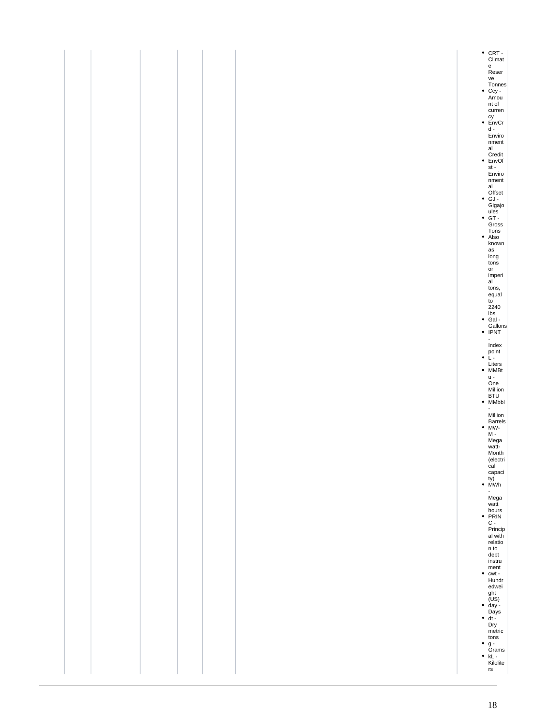|  |  |  | • CRT -<br>Climat                                         |
|--|--|--|-----------------------------------------------------------|
|  |  |  | e<br>Reser                                                |
|  |  |  | ve                                                        |
|  |  |  | Tonnes<br>Ccy -<br>Amou                                   |
|  |  |  | nt of<br>curren                                           |
|  |  |  | $\frac{cy}{d}$                                            |
|  |  |  | Enviro                                                    |
|  |  |  | nment<br>$\operatorname{\sf al}$                          |
|  |  |  | Credit<br>• EnvOf                                         |
|  |  |  | $\mathsf{st}$ -<br>Enviro<br>$n$ ment                     |
|  |  |  | al<br>Offset<br>• GJ -                                    |
|  |  |  |                                                           |
|  |  |  | Gigajo<br>ules<br>GT -<br>Gross                           |
|  |  |  | Tons<br>• Also                                            |
|  |  |  | known                                                     |
|  |  |  | $\operatorname{\sf as}$<br>$\frac{long}{tons}$            |
|  |  |  | or                                                        |
|  |  |  | imperi<br>al                                              |
|  |  |  | tons,<br>equal<br>to                                      |
|  |  |  | $2240\,$ lbs                                              |
|  |  |  | ● Gal -<br>Gallons<br>● IPNT                              |
|  |  |  | $\blacksquare$                                            |
|  |  |  | Index<br>point<br>$\bullet$ L -                           |
|  |  |  | Liters<br>• MMBt                                          |
|  |  |  | $u -$                                                     |
|  |  |  | One                                                       |
|  |  |  | Million<br>BTU<br>• MMbbl                                 |
|  |  |  | $\overline{\phantom{a}}$<br>Million                       |
|  |  |  | Barrels<br>• MW-                                          |
|  |  |  | <br>M -<br>Mega<br>watt-                                  |
|  |  |  | Month                                                     |
|  |  |  | (electri<br>cal<br>capaci                                 |
|  |  |  | $(y)$<br>• MWh                                            |
|  |  |  | Mega<br>watt                                              |
|  |  |  |                                                           |
|  |  |  | $\frac{\text{hours}}{\text{PRIN}}$                        |
|  |  |  | Princip<br>al with<br>relatio                             |
|  |  |  | n to<br>debt                                              |
|  |  |  | instru                                                    |
|  |  |  | ment<br>$\bullet$ cwt -<br>Hundr<br>edwei                 |
|  |  |  |                                                           |
|  |  |  | ght<br>(US)<br>• day -<br>Days<br>• dt -<br>Dry<br>mottis |
|  |  |  |                                                           |
|  |  |  |                                                           |
|  |  |  | Liventric<br>tons<br>● g -<br>Grams<br>● kL -             |
|  |  |  | Kilolite                                                  |
|  |  |  | $\mathsf{rs}$                                             |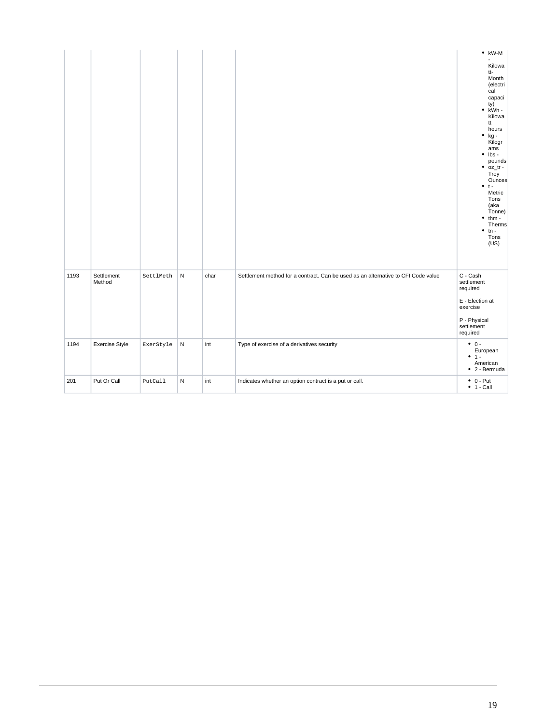|      |                       |           |           |      |                                                                                   | $\bullet$ kW-M<br>Kilowa<br>tt-<br>Month<br>(electri<br>cal<br>capaci<br>ty)<br>$\bullet$ kWh -<br>Kilowa<br>tt<br>hours<br>$\bullet$ kg -<br>Kilogr<br>ams<br>$\bullet$ lbs -<br>pounds<br>$\bullet$ oz_tr -<br>Troy<br>Ounces<br>$• + -$<br>Metric<br>Tons<br>(aka<br>Tonne)<br>$\bullet$<br>$thm -$<br>Therms<br>$\bullet$<br>$tn -$<br>Tons<br>(US) |
|------|-----------------------|-----------|-----------|------|-----------------------------------------------------------------------------------|---------------------------------------------------------------------------------------------------------------------------------------------------------------------------------------------------------------------------------------------------------------------------------------------------------------------------------------------------------|
| 1193 | Settlement<br>Method  | SettlMeth | ${\sf N}$ | char | Settlement method for a contract. Can be used as an alternative to CFI Code value | C - Cash<br>settlement<br>required<br>E - Election at<br>exercise<br>P - Physical<br>settlement<br>required                                                                                                                                                                                                                                             |
| 1194 | <b>Exercise Style</b> | ExerStyle | ${\sf N}$ | int  | Type of exercise of a derivatives security                                        | $\bullet$ 0 -<br>European<br>$• 1 -$<br>American<br>$\bullet$ 2 - Bermuda                                                                                                                                                                                                                                                                               |
| 201  | Put Or Call           | PutCall   | ${\sf N}$ | int  | Indicates whether an option contract is a put or call.                            | $\bullet$ 0 - Put<br>$• 1 - Call$                                                                                                                                                                                                                                                                                                                       |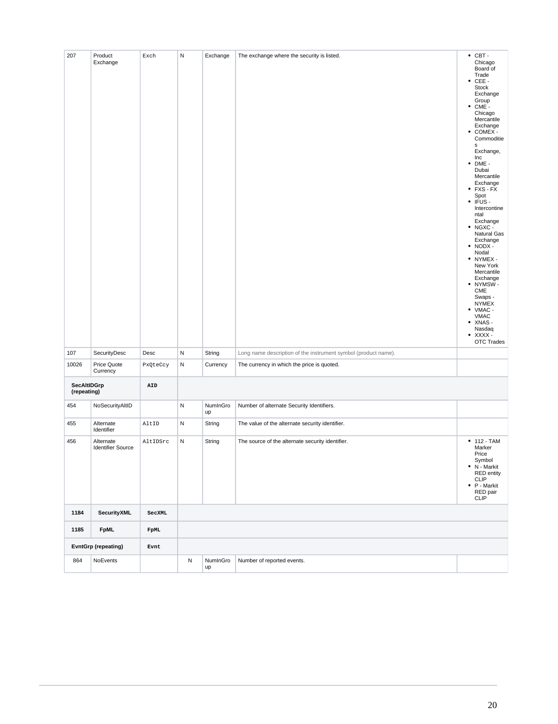| 207                        | Product<br>Exchange                   | Exch        | Ν | Exchange       | The exchange where the security is listed.                     | $\bullet$ CBT -<br>Chicago<br>Board of<br>Trade<br>$\bullet$ CEE -<br>Stock<br>Exchange<br>Group<br>$\bullet$ CME -<br>Chicago<br>Mercantile<br>Exchange<br>$\bullet$ COMEX -<br>Commoditie<br>$\mathbf s$<br>Exchange,<br>Inc<br>DME -<br>٠<br>Dubai<br>Mercantile<br>Exchange<br>$\bullet$ FXS - FX<br>Spot<br>IFUS -<br>٠<br>Intercontine<br>ntal<br>Exchange<br>$\bullet$ NGXC -<br>Natural Gas<br>Exchange<br>$\bullet$ NODX -<br>Nodal<br>• NYMEX -<br>New York<br>Mercantile<br>Exchange<br>• NYMSW-<br>CME<br>Swaps -<br><b>NYMEX</b><br>$\bullet$ VMAC -<br><b>VMAC</b><br>$\bullet$ XNAS -<br>Nasdaq<br>$\bullet$ XXXX -<br><b>OTC Trades</b> |
|----------------------------|---------------------------------------|-------------|---|----------------|----------------------------------------------------------------|---------------------------------------------------------------------------------------------------------------------------------------------------------------------------------------------------------------------------------------------------------------------------------------------------------------------------------------------------------------------------------------------------------------------------------------------------------------------------------------------------------------------------------------------------------------------------------------------------------------------------------------------------------|
| 107                        | SecurityDesc                          | Desc        | N | String         | Long name description of the instrument symbol (product name). |                                                                                                                                                                                                                                                                                                                                                                                                                                                                                                                                                                                                                                                         |
| 10026                      | Price Quote<br>Currency               | PxQteCcy    | N | Currency       | The currency in which the price is quoted.                     |                                                                                                                                                                                                                                                                                                                                                                                                                                                                                                                                                                                                                                                         |
| SecAltIDGrp<br>(repeating) |                                       | AID         |   |                |                                                                |                                                                                                                                                                                                                                                                                                                                                                                                                                                                                                                                                                                                                                                         |
| 454                        | NoSecurityAltID                       |             | Ν | NumInGro<br>up | Number of alternate Security Identifiers.                      |                                                                                                                                                                                                                                                                                                                                                                                                                                                                                                                                                                                                                                                         |
| 455                        | Alternate<br>Identifier               | AltID       | N | String         | The value of the alternate security identifier.                |                                                                                                                                                                                                                                                                                                                                                                                                                                                                                                                                                                                                                                                         |
| 456                        | Alternate<br><b>Identifier Source</b> | AltIDSrc    | Ν | String         | The source of the alternate security identifier.               | $• 112 - TAM$<br>Marker<br>Price<br>Symbol<br>• N - Markit<br><b>RED</b> entity<br><b>CLIP</b><br>$\bullet$ P - Markit<br>RED pair<br><b>CLIP</b>                                                                                                                                                                                                                                                                                                                                                                                                                                                                                                       |
| 1184                       | SecurityXML                           | SecXML      |   |                |                                                                |                                                                                                                                                                                                                                                                                                                                                                                                                                                                                                                                                                                                                                                         |
| 1185                       | <b>FpML</b>                           | <b>FpML</b> |   |                |                                                                |                                                                                                                                                                                                                                                                                                                                                                                                                                                                                                                                                                                                                                                         |
| <b>EvntGrp (repeating)</b> |                                       | Evnt        |   |                |                                                                |                                                                                                                                                                                                                                                                                                                                                                                                                                                                                                                                                                                                                                                         |
| 864                        | NoEvents                              |             | N | NumInGro<br>up | Number of reported events.                                     |                                                                                                                                                                                                                                                                                                                                                                                                                                                                                                                                                                                                                                                         |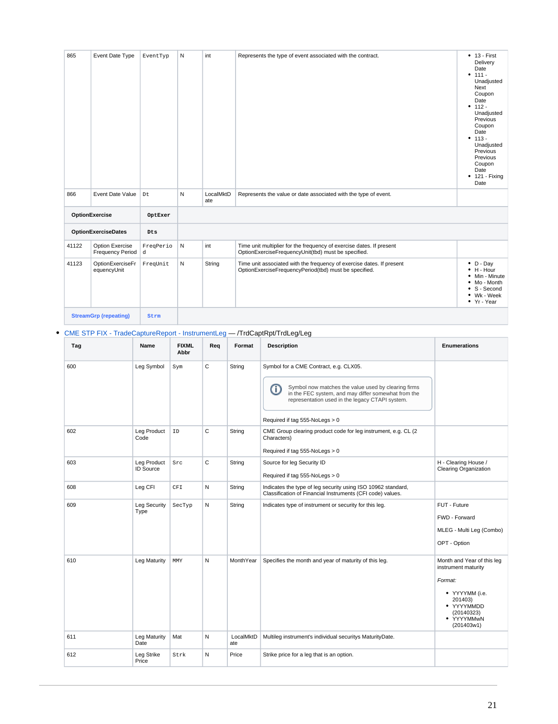| 865   | Event Date Type                            | EventTyp       | Ν | int              | Represents the type of event associated with the contract.                                                                     | $• 13 - First$<br>Delivery<br>Date<br>$• 111 -$<br>Unadjusted<br>Next<br>Coupon<br>Date<br>$• 112 -$<br>Unadjusted<br>Previous<br>Coupon<br>Date<br>$• 113 -$<br>Unadjusted<br>Previous<br>Previous<br>Coupon<br>Date<br>$• 121 - Fixing$<br>Date |
|-------|--------------------------------------------|----------------|---|------------------|--------------------------------------------------------------------------------------------------------------------------------|---------------------------------------------------------------------------------------------------------------------------------------------------------------------------------------------------------------------------------------------------|
| 866   | Event Date Value<br>Dt                     |                | N | LocalMktD<br>ate | Represents the value or date associated with the type of event.                                                                |                                                                                                                                                                                                                                                   |
|       | OptionExercise                             | OptExer        |   |                  |                                                                                                                                |                                                                                                                                                                                                                                                   |
|       | <b>OptionExerciseDates</b>                 | Dts            |   |                  |                                                                                                                                |                                                                                                                                                                                                                                                   |
| 41122 | Option Exercise<br><b>Frequency Period</b> | FreqPerio<br>d | N | int              | Time unit multiplier for the frequency of exercise dates. If present<br>OptionExerciseFrequencyUnit(tbd) must be specified.    |                                                                                                                                                                                                                                                   |
| 41123 | OptionExerciseFr<br>equencyUnit            | FreqUnit       | N | String           | Time unit associated with the frequency of exercise dates. If present<br>OptionExerciseFrequencyPeriod(tbd) must be specified. | $\bullet$ D - Day<br>$\bullet$ H - Hour<br>• Min - Minute<br>• Mo - Month<br>• S - Second<br>• Wk - Week<br>• Yr - Year                                                                                                                           |
|       | <b>StreamGrp (repeating)</b>               | Strm           |   |                  |                                                                                                                                |                                                                                                                                                                                                                                                   |

## [CME STP FIX - TradeCaptureReport - InstrumentLeg](https://www.cmegroup.com/confluence/display/EPICSANDBOX/CME+STP+FIX+-+TradeCaptureReport+-+InstrumentLeg) — /TrdCaptRpt/TrdLeg/Leg

| Tag | Name                            | <b>FIXML</b><br>Abbr | Req | Format           | <b>Description</b>                                                                                                                                                                                                                             | <b>Enumerations</b>                                                                                                                               |
|-----|---------------------------------|----------------------|-----|------------------|------------------------------------------------------------------------------------------------------------------------------------------------------------------------------------------------------------------------------------------------|---------------------------------------------------------------------------------------------------------------------------------------------------|
| 600 | Leg Symbol                      | Sym                  | С   | String           | Symbol for a CME Contract, e.g. CLX05.<br>Symbol now matches the value used by clearing firms<br>⋒<br>in the FEC system, and may differ somewhat from the<br>representation used in the legacy CTAPI system.<br>Required if tag 555-NoLegs > 0 |                                                                                                                                                   |
| 602 | Leg Product<br>Code             | ID                   | C   | String           | CME Group clearing product code for leg instrument, e.g. CL (2)<br>Characters)<br>Required if tag 555-NoLegs > 0                                                                                                                               |                                                                                                                                                   |
| 603 | Leg Product<br><b>ID Source</b> | Src                  | C   | String           | Source for leg Security ID<br>Required if tag 555-NoLegs > 0                                                                                                                                                                                   | H - Clearing House /<br><b>Clearing Organization</b>                                                                                              |
| 608 | Leg CFI                         | CFI                  | N   | String           | Indicates the type of leg security using ISO 10962 standard,<br>Classification of Financial Instruments (CFI code) values.                                                                                                                     |                                                                                                                                                   |
| 609 | <b>Leg Security</b><br>Type     | SecTyp               | N   | String           | Indicates type of instrument or security for this leg.                                                                                                                                                                                         | FUT - Future<br>FWD - Forward<br>MLEG - Multi Leg (Combo)<br>OPT - Option                                                                         |
| 610 | Leg Maturity                    | MMY                  | N   | MonthYear        | Specifies the month and year of maturity of this leg.                                                                                                                                                                                          | Month and Year of this leg<br>instrument maturity<br>Format:<br>• YYYYMM (i.e.<br>201403)<br>• YYYYMMDD<br>(20140323)<br>· YYYYMMwN<br>(201403w1) |
| 611 | Leg Maturity<br>Date            | Mat                  | N   | LocalMktD<br>ate | Multileg instrument's individual securitys MaturityDate.                                                                                                                                                                                       |                                                                                                                                                   |
| 612 | Leg Strike<br>Price             | Strk                 | N   | Price            | Strike price for a leg that is an option.                                                                                                                                                                                                      |                                                                                                                                                   |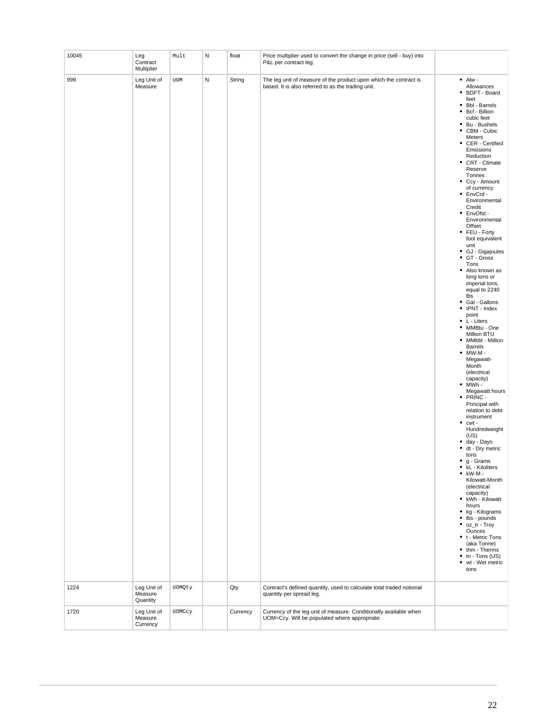| 10045        | Leg<br>Contract<br>Multiplier                     | Mult   | N | float           | Price multiplier used to convert the change in price (sell - buy) into<br>P&L per contract leg.                                                                       |                                                                                                                                                                                                                                                                                                                                                                                                                                                                                                                                                                                                                                                                                                                                                                                                                                                                                                                                                                                                                                                                                                                                                                                                                                                                                                                     |
|--------------|---------------------------------------------------|--------|---|-----------------|-----------------------------------------------------------------------------------------------------------------------------------------------------------------------|---------------------------------------------------------------------------------------------------------------------------------------------------------------------------------------------------------------------------------------------------------------------------------------------------------------------------------------------------------------------------------------------------------------------------------------------------------------------------------------------------------------------------------------------------------------------------------------------------------------------------------------------------------------------------------------------------------------------------------------------------------------------------------------------------------------------------------------------------------------------------------------------------------------------------------------------------------------------------------------------------------------------------------------------------------------------------------------------------------------------------------------------------------------------------------------------------------------------------------------------------------------------------------------------------------------------|
| 999          | Leg Unit of<br>Measure                            | UOM    | N | String          | The leg unit of measure of the product upon which the contract is<br>based. It is also referred to as the trading unit.                                               | $\bullet$ Alw -<br>Allowances<br>BDFT - Board<br>٠<br>feet<br>• Bbl - Barrels<br>$\bullet$<br>Bcf - Billion<br>cubic feet<br>$\bullet$<br>Bu - Bushels<br>CBM - Cubic<br>٠<br>Meters<br>• CER - Certified<br>Emissions<br>Reduction<br>• CRT - Climate<br>Reserve<br>Tonnes<br>• Ccy - Amount<br>of currency<br>• EnvCrd -<br>Environmental<br>Credit<br>• EnvOfst -<br>Environmental<br>Offset<br>• FEU - Forty<br>foot equivalent<br>unit<br>• GJ - Gigajoules<br>GT - Gross<br>$\bullet$<br>Tons<br>• Also known as<br>long tons or<br>imperial tons,<br>equal to 2240<br>lbs<br>• Gal - Gallons<br>• IPNT - Index<br>point<br>• L - Liters<br>• MMBtu - One<br>Million BTU<br>• MMbbl - Million<br><b>Barrels</b><br>$\bullet$ MW-M -<br>Megawatt-<br>Month<br>(electrical<br>capacity)<br>$• MWh -$<br>Megawatt hours<br>• PRINC -<br>Principal with<br>relation to debt<br>instrument<br>٠<br>cwt -<br>Hundredweight<br>(US)<br>• day - Days<br>• dt - Dry metric<br>tons<br>$\bullet$ g - Grams<br>• kL - Kiloliters<br>$\bullet$ kW-M -<br>Kilowatt-Month<br>(electrical<br>capacity)<br>• kWh - Kilowatt<br>hours<br>• kg - Kilograms<br>$\bullet$ lbs - pounds<br>• oz_tr - Troy<br>Ounces<br>• t - Metric Tons<br>(aka Tonne)<br>• thm - Therms<br>$\bullet$ tn - Tons (US)<br>• wt - Wet metric<br>tons |
| 1224<br>1720 | Leg Unit of<br>Measure<br>Quantity<br>Leg Unit of | UOMQty |   | Qty<br>Currency | Contract's defined quantity, used to calculate total traded notional<br>quantity per spread leg.<br>Currency of the leg unit of measure. Conditionally available when |                                                                                                                                                                                                                                                                                                                                                                                                                                                                                                                                                                                                                                                                                                                                                                                                                                                                                                                                                                                                                                                                                                                                                                                                                                                                                                                     |
|              | Measure<br>Currency                               | UOMCcy |   |                 | UOM=Ccy. Will be populated where appropriate.                                                                                                                         |                                                                                                                                                                                                                                                                                                                                                                                                                                                                                                                                                                                                                                                                                                                                                                                                                                                                                                                                                                                                                                                                                                                                                                                                                                                                                                                     |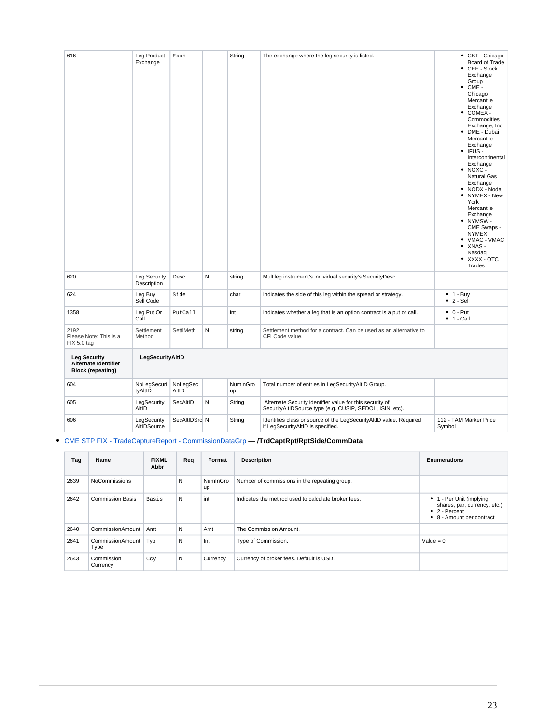| 616                                                                            | Leg Product<br>Exchange     | Exch              |   | String         | The exchange where the leg security is listed.                                                                       | • CBT - Chicago<br>Board of Trade<br>CEE - Stock<br>Exchange<br>Group<br>$\bullet$ CME -<br>Chicago<br>Mercantile<br>Exchange<br>$\bullet$ COMEX -<br>Commodities<br>Exchange, Inc<br>• DME - Dubai<br>Mercantile<br>Exchange<br>$\cdot$ IFUS -<br>Intercontinental<br>Exchange<br>$\bullet$ NGXC -<br>Natural Gas<br>Exchange<br>• NODX - Nodal<br>• NYMEX - New<br>York<br>Mercantile<br>Exchange<br>• NYMSW-<br>CME Swaps -<br><b>NYMEX</b><br>• VMAC - VMAC<br>XNAS -<br>٠<br>Nasdaq<br>• XXXX - OTC<br>Trades |
|--------------------------------------------------------------------------------|-----------------------------|-------------------|---|----------------|----------------------------------------------------------------------------------------------------------------------|--------------------------------------------------------------------------------------------------------------------------------------------------------------------------------------------------------------------------------------------------------------------------------------------------------------------------------------------------------------------------------------------------------------------------------------------------------------------------------------------------------------------|
| 620                                                                            | Leg Security<br>Description | Desc              | N | string         | Multileg instrument's individual security's SecurityDesc.                                                            |                                                                                                                                                                                                                                                                                                                                                                                                                                                                                                                    |
| 624                                                                            | Leg Buy<br>Sell Code        | Side              |   | char           | Indicates the side of this leg within the spread or strategy.                                                        | $\bullet$ 1 - Buy<br>$\bullet$ 2 - Sell                                                                                                                                                                                                                                                                                                                                                                                                                                                                            |
| 1358                                                                           | Leg Put Or<br>Call          | PutCall           |   | int            | Indicates whether a leg that is an option contract is a put or call.                                                 | $\bullet$ 0 - Put<br>$\bullet$ 1 - Call                                                                                                                                                                                                                                                                                                                                                                                                                                                                            |
| 2192<br>Please Note: This is a<br>FIX 5.0 tag                                  | Settlement<br>Method        | SettlMeth         | N | string         | Settlement method for a contract. Can be used as an alternative to<br>CFI Code value.                                |                                                                                                                                                                                                                                                                                                                                                                                                                                                                                                                    |
| <b>Leg Security</b><br><b>Alternate Identifier</b><br><b>Block (repeating)</b> | LegSecurityAltID            |                   |   |                |                                                                                                                      |                                                                                                                                                                                                                                                                                                                                                                                                                                                                                                                    |
| 604                                                                            | NoLegSecuri<br>tyAltID      | NoLegSec<br>AltID |   | NuminGro<br>up | Total number of entries in LegSecurityAltID Group.                                                                   |                                                                                                                                                                                                                                                                                                                                                                                                                                                                                                                    |
| 605                                                                            | LegSecurity<br>AltID        | SecAltID          | N | String         | Alternate Security identifier value for this security of<br>SecurityAltIDSource type (e.g. CUSIP, SEDOL, ISIN, etc). |                                                                                                                                                                                                                                                                                                                                                                                                                                                                                                                    |
| 606                                                                            | LegSecurity<br>AltIDSource  | SecAltIDSrc N     |   | String         | Identifies class or source of the LegSecurityAltID value. Required<br>if LegSecurityAltID is specified.              | 112 - TAM Marker Price<br>Symbol                                                                                                                                                                                                                                                                                                                                                                                                                                                                                   |

## [CME STP FIX - TradeCaptureReport - CommissionDataGrp](https://www.cmegroup.com/confluence/display/EPICSANDBOX/CME+STP+FIX+-+TradeCaptureReport+-+CommissionDataGrp) — **/TrdCaptRpt/RptSide/CommData**

| Tag  | Name                     | <b>FIXML</b><br>Abbr | Req | Format         | <b>Description</b>                                  | <b>Enumerations</b>                                                                                            |
|------|--------------------------|----------------------|-----|----------------|-----------------------------------------------------|----------------------------------------------------------------------------------------------------------------|
| 2639 | NoCommissions            |                      | N   | NumInGro<br>up | Number of commissions in the repeating group.       |                                                                                                                |
| 2642 | <b>Commission Basis</b>  | Basis                | N   | int            | Indicates the method used to calculate broker fees. | • 1 - Per Unit (implying<br>shares, par, currency, etc.)<br>$\bullet$ 2 - Percent<br>• 8 - Amount per contract |
| 2640 | CommissionAmount         | Amt                  | N   | Amt            | The Commission Amount.                              |                                                                                                                |
| 2641 | CommissionAmount<br>Type | Typ                  | N   | Int            | Type of Commission.                                 | Value = $0$ .                                                                                                  |
| 2643 | Commission<br>Currency   | Ccy                  | N   | Currency       | Currency of broker fees. Default is USD.            |                                                                                                                |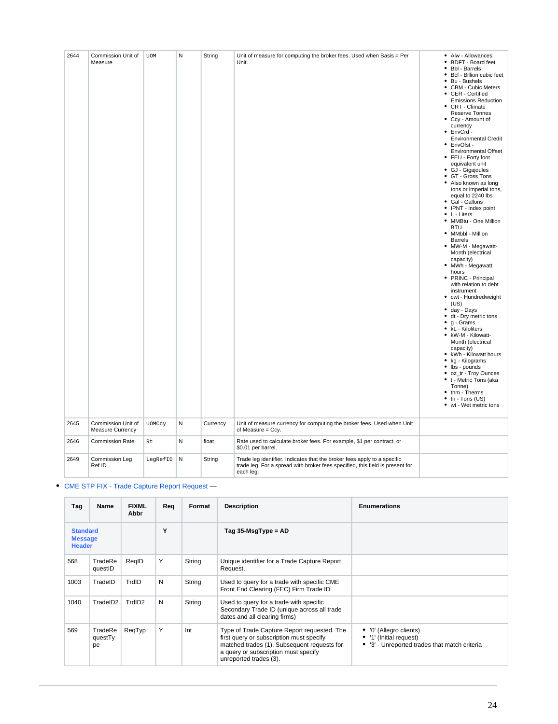| 2644 | Commission Unit of<br>Measure          | <b>UOM</b> | N         | String   | Unit of measure for computing the broker fees. Used when Basis = Per<br>Unit.                                                                                          | • Alw - Allowances<br><b>BDFT - Board feet</b><br>٠<br><b>Bbl</b> - Barrels<br>Bcf - Billion cubic feet<br>٠<br>Bu - Bushels<br><b>CBM - Cubic Meters</b><br>٠<br>CER - Certified<br><b>Emissions Reduction</b><br>• CRT - Climate<br>Reserve Tonnes<br>• Ccy - Amount of<br>currency<br>EnvCrd -<br>٠<br><b>Environmental Credit</b><br>EnvOfst -<br>٠<br><b>Environmental Offset</b><br>• FEU - Forty foot<br>equivalent unit<br>• GJ - Gigajoules<br>GT - Gross Tons<br>٠<br>• Also known as long<br>tons or imperial tons,<br>equal to 2240 lbs<br>· Gal - Gallons<br>IPNT - Index point<br>٠<br>L - Liters<br>MMBtu - One Million<br>٠<br><b>BTU</b><br>• MMbbl - Million<br><b>Barrels</b><br>• MW-M - Megawatt-<br>Month (electrical<br>capacity)<br>MWh - Megawatt<br>٠<br>hours<br>PRINC - Principal<br>with relation to debt<br>instrument<br>cwt - Hundredweight<br>٠<br>(US)<br>day - Days<br>٠<br>dt - Dry metric tons<br>٠<br>g - Grams<br>kL - Kiloliters<br>kW-M - Kilowatt-<br>Month (electrical<br>capacity)<br>• kWh - Kilowatt hours<br>٠<br>kg - Kilograms<br>lbs - pounds<br>٠<br>oz_tr - Troy Ounces<br>t - Metric Tons (aka<br>Tonne) |
|------|----------------------------------------|------------|-----------|----------|------------------------------------------------------------------------------------------------------------------------------------------------------------------------|---------------------------------------------------------------------------------------------------------------------------------------------------------------------------------------------------------------------------------------------------------------------------------------------------------------------------------------------------------------------------------------------------------------------------------------------------------------------------------------------------------------------------------------------------------------------------------------------------------------------------------------------------------------------------------------------------------------------------------------------------------------------------------------------------------------------------------------------------------------------------------------------------------------------------------------------------------------------------------------------------------------------------------------------------------------------------------------------------------------------------------------------------------------|
|      |                                        |            |           |          |                                                                                                                                                                        | thm - Therms<br>$tn - Tons (US)$<br>٠<br>• wt - Wet metric tons                                                                                                                                                                                                                                                                                                                                                                                                                                                                                                                                                                                                                                                                                                                                                                                                                                                                                                                                                                                                                                                                                               |
| 2645 | Commission Unit of<br>Measure Currency | UOMCcy     | ${\sf N}$ | Currency | Unit of measure currency for computing the broker fees. Used when Unit<br>of Measure = Ccy.                                                                            |                                                                                                                                                                                                                                                                                                                                                                                                                                                                                                                                                                                                                                                                                                                                                                                                                                                                                                                                                                                                                                                                                                                                                               |
| 2646 | <b>Commission Rate</b>                 | Rt         | ${\sf N}$ | float    | Rate used to calculate broker fees. For example, \$1 per contract, or<br>\$0.01 per barrel.                                                                            |                                                                                                                                                                                                                                                                                                                                                                                                                                                                                                                                                                                                                                                                                                                                                                                                                                                                                                                                                                                                                                                                                                                                                               |
| 2649 | Commission Leg<br>Ref ID               | LegRefID   | N         | String   | Trade leg identifier. Indicates that the broker fees apply to a specific<br>trade leg. For a spread with broker fees specified, this field is present for<br>each leg. |                                                                                                                                                                                                                                                                                                                                                                                                                                                                                                                                                                                                                                                                                                                                                                                                                                                                                                                                                                                                                                                                                                                                                               |

## [CME STP FIX - Trade Capture Report Request](https://www.cmegroup.com/confluence/display/EPICSANDBOX/CME+STP+FIX+-+Trade+Capture+Report+Request) —

| Tag                                                | Name                     | <b>FIXML</b><br>Abbr | Req | Format | <b>Description</b>                                                                                                                                                                                       | <b>Enumerations</b>                                                                                 |
|----------------------------------------------------|--------------------------|----------------------|-----|--------|----------------------------------------------------------------------------------------------------------------------------------------------------------------------------------------------------------|-----------------------------------------------------------------------------------------------------|
| <b>Standard</b><br><b>Message</b><br><b>Header</b> |                          |                      | Y   |        | Tag $35$ -MsgType = AD                                                                                                                                                                                   |                                                                                                     |
| 568                                                | TradeRe<br>questID       | RegID                | Y   | String | Unique identifier for a Trade Capture Report<br>Request.                                                                                                                                                 |                                                                                                     |
| 1003                                               | TradeID                  | TrdID                | N   | String | Used to query for a trade with specific CME<br>Front End Clearing (FEC) Firm Trade ID                                                                                                                    |                                                                                                     |
| 1040                                               | TradeID2                 | TrdID <sub>2</sub>   | N   | String | Used to query for a trade with specific<br>Secondary Trade ID (unique across all trade<br>dates and all clearing firms)                                                                                  |                                                                                                     |
| 569                                                | TradeRe<br>questTy<br>pe | ReqTyp               | Υ   | Int    | Type of Trade Capture Report requested. The<br>first query or subscription must specify<br>matched trades (1). Subsequent requests for<br>a query or subscription must specify<br>unreported trades (3). | • '0' (Allegro clients)<br>• '1' (Initial request)<br>• '3' - Unreported trades that match criteria |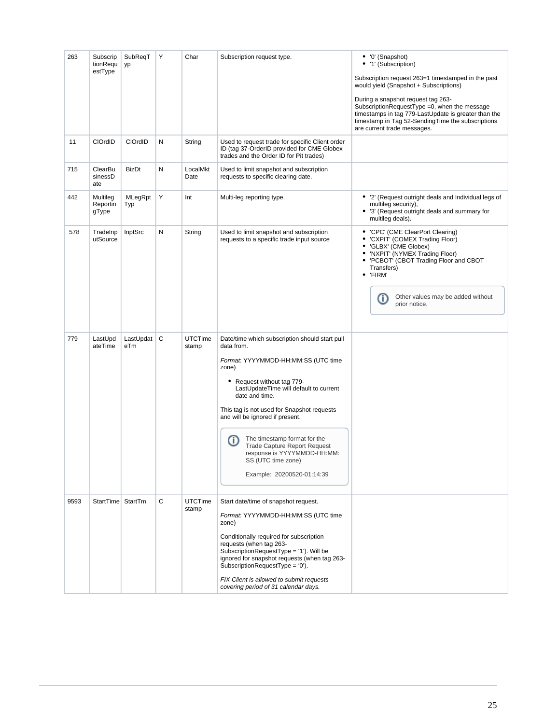| 263  | Subscrip<br>tionRequ          | SubReqT<br>yp    | Υ | Char                    | Subscription request type.                                                                                                                                                                                                                                                                                                                                                                                                                                | • '0' (Snapshot)<br>• '1' (Subscription)                                                                                                                                                                                                                        |
|------|-------------------------------|------------------|---|-------------------------|-----------------------------------------------------------------------------------------------------------------------------------------------------------------------------------------------------------------------------------------------------------------------------------------------------------------------------------------------------------------------------------------------------------------------------------------------------------|-----------------------------------------------------------------------------------------------------------------------------------------------------------------------------------------------------------------------------------------------------------------|
|      | estType                       |                  |   |                         |                                                                                                                                                                                                                                                                                                                                                                                                                                                           | Subscription request 263=1 timestamped in the past<br>would yield (Snapshot + Subscriptions)                                                                                                                                                                    |
|      |                               |                  |   |                         |                                                                                                                                                                                                                                                                                                                                                                                                                                                           | During a snapshot request tag 263-<br>SubscriptionRequestType =0, when the message<br>timestamps in tag 779-LastUpdate is greater than the<br>timestamp in Tag 52-SendingTime the subscriptions<br>are current trade messages.                                  |
| 11   | <b>CIOrdID</b>                | CIOrdID          | Ν | String                  | Used to request trade for specific Client order<br>ID (tag 37-OrderID provided for CME Globex<br>trades and the Order ID for Pit trades)                                                                                                                                                                                                                                                                                                                  |                                                                                                                                                                                                                                                                 |
| 715  | ClearBu<br>sinessD<br>ate     | BizDt            | Ν | LocalMkt<br>Date        | Used to limit snapshot and subscription<br>requests to specific clearing date.                                                                                                                                                                                                                                                                                                                                                                            |                                                                                                                                                                                                                                                                 |
| 442  | Multileg<br>Reportin<br>gType | MLegRpt<br>Typ   | Υ | Int                     | Multi-leg reporting type.                                                                                                                                                                                                                                                                                                                                                                                                                                 | '2' (Request outright deals and Individual legs of<br>٠<br>multileg security),<br>• '3' (Request outright deals and summary for<br>multileg deals).                                                                                                             |
| 578  | TradeInp<br>utSource          | InptSrc          | Ν | String                  | Used to limit snapshot and subscription<br>requests to a specific trade input source                                                                                                                                                                                                                                                                                                                                                                      | • 'CPC' (CME ClearPort Clearing)<br>'CXPIT' (COMEX Trading Floor)<br>٠<br>• 'GLBX' (CME Globex)<br>• 'NXPIT' (NYMEX Trading Floor)<br>• 'PCBOT' (CBOT Trading Floor and CBOT<br>Transfers)<br>'FIRM'<br>Other values may be added without<br>⊕<br>prior notice. |
| 779  | LastUpd<br>ateTime            | LastUpdat<br>eTm | C | <b>UTCTime</b><br>stamp | Date/time which subscription should start pull<br>data from.<br>Format: YYYYMMDD-HH:MM:SS (UTC time<br>zone)<br>Request without tag 779-<br>٠<br>LastUpdateTime will default to current<br>date and time.<br>This tag is not used for Snapshot requests<br>and will be ignored if present.<br>The timestamp format for the<br>⋒<br><b>Trade Capture Report Request</b><br>response is YYYYMMDD-HH:MM:<br>SS (UTC time zone)<br>Example: 20200520-01:14:39 |                                                                                                                                                                                                                                                                 |
| 9593 | StartTime StartTm             |                  | C | <b>UTCTime</b><br>stamp | Start date/time of snapshot request.<br>Format: YYYYMMDD-HH:MM:SS (UTC time<br>zone)<br>Conditionally required for subscription<br>requests (when tag 263-<br>SubscriptionRequestType = '1'). Will be<br>ignored for snapshot requests (when tag 263-<br>SubscriptionRequestType = '0').<br>FIX Client is allowed to submit requests<br>covering period of 31 calendar days.                                                                              |                                                                                                                                                                                                                                                                 |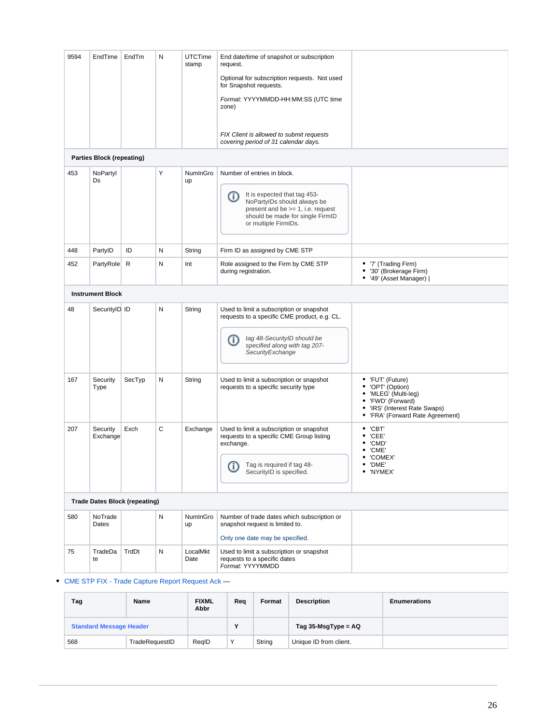| 9594 | EndTime                                                                  | EndTm                                | N | <b>UTCTime</b><br>stamp | End date/time of snapshot or subscription<br>request.<br>Optional for subscription requests. Not used<br>for Snapshot requests.<br>Format: YYYYMMDD-HH:MM:SS (UTC time<br>zone)<br>FIX Client is allowed to submit requests |                                                                                                                                                        |  |  |  |  |  |
|------|--------------------------------------------------------------------------|--------------------------------------|---|-------------------------|-----------------------------------------------------------------------------------------------------------------------------------------------------------------------------------------------------------------------------|--------------------------------------------------------------------------------------------------------------------------------------------------------|--|--|--|--|--|
|      | covering period of 31 calendar days.<br><b>Parties Block (repeating)</b> |                                      |   |                         |                                                                                                                                                                                                                             |                                                                                                                                                        |  |  |  |  |  |
| 453  | NoPartyl<br>Ds                                                           |                                      | Υ | NumInGro<br>up          | Number of entries in block.<br>It is expected that tag 453-<br>⊕<br>NoPartyIDs should always be<br>present and be $>= 1$ , i.e. request<br>should be made for single FirmID<br>or multiple FirmIDs.                         |                                                                                                                                                        |  |  |  |  |  |
| 448  | PartyID                                                                  | ID                                   | N | String                  | Firm ID as assigned by CME STP                                                                                                                                                                                              |                                                                                                                                                        |  |  |  |  |  |
| 452  | PartyRole R                                                              |                                      | N | Int                     | Role assigned to the Firm by CME STP<br>during registration.                                                                                                                                                                | • '7' (Trading Firm)<br>'30' (Brokerage Firm)<br>٠<br>• '49' (Asset Manager)                                                                           |  |  |  |  |  |
|      | <b>Instrument Block</b>                                                  |                                      |   |                         |                                                                                                                                                                                                                             |                                                                                                                                                        |  |  |  |  |  |
| 48   | SecurityID ID                                                            |                                      | N | String                  | Used to limit a subscription or snapshot<br>requests to a specific CME product, e.g. CL.<br>tag 48-SecurityID should be<br>ወ<br>specified along with tag 207-<br>SecurityExchange                                           |                                                                                                                                                        |  |  |  |  |  |
| 167  | Security<br>Type                                                         | SecTyp                               | N | String                  | Used to limit a subscription or snapshot<br>requests to a specific security type                                                                                                                                            | • 'FUT' (Future)<br>• 'OPT' (Option)<br>• 'MLEG' (Multi-leg)<br>• 'FWD' (Forward)<br>• 'IRS' (Interest Rate Swaps)<br>• 'FRA' (Forward Rate Agreement) |  |  |  |  |  |
| 207  | Security<br>Exchange                                                     | Exch                                 | C | Exchange                | Used to limit a subscription or snapshot<br>requests to a specific CME Group listing<br>exchange.<br>Tag is required if tag 48-<br>➀<br>SecurityID is specified.                                                            | $\bullet$ 'CBT'<br>'CEE'<br>٠<br>'CMD'<br>٠<br>$\bullet$ 'CME'<br>• 'COMEX'<br>$\bullet$ 'DME'<br>• 'NYMEX'                                            |  |  |  |  |  |
|      |                                                                          | <b>Trade Dates Block (repeating)</b> |   |                         |                                                                                                                                                                                                                             |                                                                                                                                                        |  |  |  |  |  |
| 580  | NoTrade<br>Dates                                                         |                                      | N | NumInGro<br>up          | Number of trade dates which subscription or<br>snapshot request is limited to.                                                                                                                                              |                                                                                                                                                        |  |  |  |  |  |
| 75   | TradeDa<br>te                                                            | TrdDt                                | N | LocalMkt<br>Date        | Only one date may be specified.<br>Used to limit a subscription or snapshot<br>requests to a specific dates<br>Format: YYYYMMDD                                                                                             |                                                                                                                                                        |  |  |  |  |  |
|      |                                                                          |                                      |   |                         |                                                                                                                                                                                                                             |                                                                                                                                                        |  |  |  |  |  |

[CME STP FIX - Trade Capture Report Request Ack](https://www.cmegroup.com/confluence/display/EPICSANDBOX/CME+STP+FIX+-+Trade+Capture+Report+Request+Ack) —

| Tag                            | <b>Name</b>    | <b>FIXML</b><br>Abbr | Req | Format                 | <b>Description</b>     | <b>Enumerations</b> |
|--------------------------------|----------------|----------------------|-----|------------------------|------------------------|---------------------|
| <b>Standard Message Header</b> |                | v                    |     | Tag $35$ -MsgType = AQ |                        |                     |
| 568                            | TradeRequestID | RealD                | Υ   | String                 | Unique ID from client. |                     |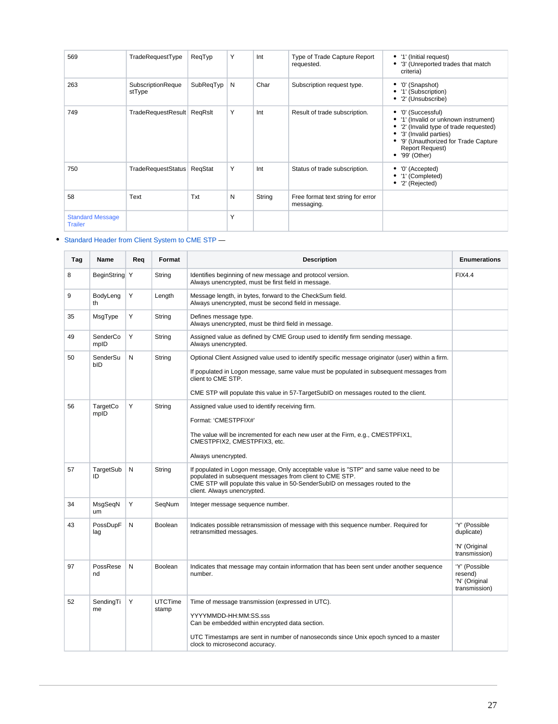| 569                                       | TradeRequestType            | ReqTyp    | Υ | Int    | Type of Trade Capture Report<br>requested.      | • '1' (Initial request)<br>• '3' (Unreported trades that match<br>criteria)                                                                                                                                              |
|-------------------------------------------|-----------------------------|-----------|---|--------|-------------------------------------------------|--------------------------------------------------------------------------------------------------------------------------------------------------------------------------------------------------------------------------|
| 263                                       | SubscriptionReque<br>stType | SubReqTyp | N | Char   | Subscription request type.                      | '0' (Snapshot)<br>• '1' (Subscription)<br>• '2' (Unsubscribe)                                                                                                                                                            |
| 749                                       | TradeRequestResult ReqRsIt  |           | Y | Int    | Result of trade subscription.                   | • '0' (Successful)<br>• '1' (Invalid or unknown instrument)<br>• '2' (Invalid type of trade requested)<br>• '3' (Invalid parties)<br>• '9' (Unauthorized for Trade Capture<br><b>Report Request)</b><br>$•$ '99' (Other) |
| 750                                       | TradeRequestStatus          | RegStat   | Υ | Int    | Status of trade subscription.                   | '0' (Accepted)<br>• '1' (Completed)<br>$•$ '2' (Rejected)                                                                                                                                                                |
| 58                                        | Text                        | Txt       | N | String | Free format text string for error<br>messaging. |                                                                                                                                                                                                                          |
| <b>Standard Message</b><br><b>Trailer</b> |                             |           | Υ |        |                                                 |                                                                                                                                                                                                                          |

## • [Standard Header from Client System to CME STP](https://www.cmegroup.com/confluence/display/EPICSANDBOX/Standard+Header+from+Client+System+to+CME+STP) —

| Tag | Name             | Rea | Format                  | <b>Description</b>                                                                                                                                                                                                                                                                                         | <b>Enumerations</b>                                           |
|-----|------------------|-----|-------------------------|------------------------------------------------------------------------------------------------------------------------------------------------------------------------------------------------------------------------------------------------------------------------------------------------------------|---------------------------------------------------------------|
| 8   | BeginString Y    |     | String                  | Identifies beginning of new message and protocol version.<br>Always unencrypted, must be first field in message.                                                                                                                                                                                           | <b>FIX4.4</b>                                                 |
| 9   | BodyLeng<br>th   | Υ   | Length                  | Message length, in bytes, forward to the CheckSum field.<br>Always unencrypted, must be second field in message.                                                                                                                                                                                           |                                                               |
| 35  | MsgType          | Υ   | String                  | Defines message type.<br>Always unencrypted, must be third field in message.                                                                                                                                                                                                                               |                                                               |
| 49  | SenderCo<br>mpID | Υ   | String                  | Assigned value as defined by CME Group used to identify firm sending message.<br>Always unencrypted.                                                                                                                                                                                                       |                                                               |
| 50  | SenderSu<br>bID  | N   | String                  | Optional Client Assigned value used to identify specific message originator (user) within a firm.<br>If populated in Logon message, same value must be populated in subsequent messages from<br>client to CME STP.<br>CME STP will populate this value in 57-TargetSubID on messages routed to the client. |                                                               |
| 56  | TargetCo<br>mpID | Y   | String                  | Assigned value used to identify receiving firm.<br>Format: 'CMESTPFIX#'<br>The value will be incremented for each new user at the Firm, e.g., CMESTPFIX1,<br>CMESTPFIX2, CMESTPFIX3, etc.<br>Always unencrypted.                                                                                           |                                                               |
| 57  | TargetSub<br>ID  | N   | String                  | If populated in Logon message, Only acceptable value is "STP" and same value need to be<br>populated in subsequent messages from client to CME STP.<br>CME STP will populate this value in 50-SenderSubID on messages routed to the<br>client. Always unencrypted.                                         |                                                               |
| 34  | MsgSeqN<br>um    | Υ   | SegNum                  | Integer message sequence number.                                                                                                                                                                                                                                                                           |                                                               |
| 43  | PossDupF<br>lag  | N   | Boolean                 | Indicates possible retransmission of message with this sequence number. Required for<br>retransmitted messages.                                                                                                                                                                                            | 'Y' (Possible<br>duplicate)<br>'N' (Original<br>transmission) |
| 97  | PossRese<br>nd   | N   | Boolean                 | Indicates that message may contain information that has been sent under another sequence<br>number.                                                                                                                                                                                                        | 'Y' (Possible<br>resend)<br>'N' (Original<br>transmission)    |
| 52  | SendingTi<br>me  | Y   | <b>UTCTime</b><br>stamp | Time of message transmission (expressed in UTC).<br>YYYYMMDD-HH:MM:SS.sss<br>Can be embedded within encrypted data section.<br>UTC Timestamps are sent in number of nanoseconds since Unix epoch synced to a master<br>clock to microsecond accuracy.                                                      |                                                               |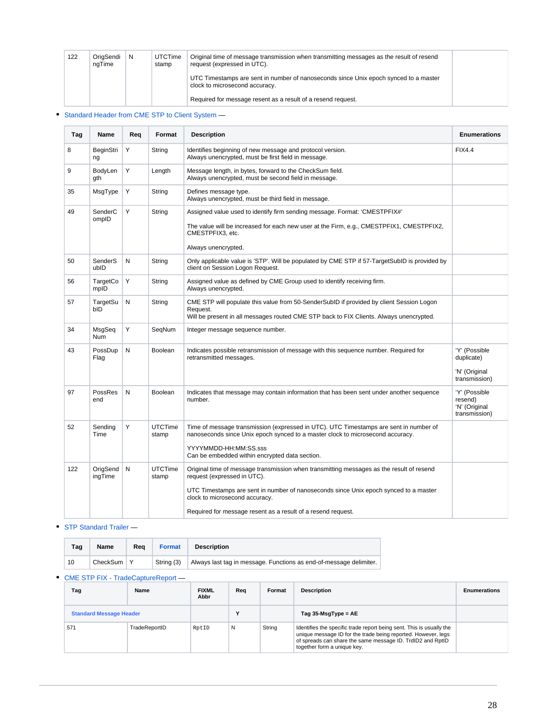| 122 | OriaSendi<br>ngTime | N | <b>UTCTime</b><br>stamp | Original time of message transmission when transmitting messages as the result of resend<br>request (expressed in UTC). |  |
|-----|---------------------|---|-------------------------|-------------------------------------------------------------------------------------------------------------------------|--|
|     |                     |   |                         | UTC Timestamps are sent in number of nanoseconds since Unix epoch synced to a master<br>clock to microsecond accuracy.  |  |
|     |                     |   |                         | Required for message resent as a result of a resend request.                                                            |  |

## • [Standard Header from CME STP to Client System](https://www.cmegroup.com/confluence/display/EPICSANDBOX/Standard+Header+from+CME+STP+to+Client+System) —

| Tag | Name                    | Rea | Format                  | <b>Description</b>                                                                                                                                                                                                                                                                                                | <b>Enumerations</b>                                           |
|-----|-------------------------|-----|-------------------------|-------------------------------------------------------------------------------------------------------------------------------------------------------------------------------------------------------------------------------------------------------------------------------------------------------------------|---------------------------------------------------------------|
| 8   | BeginStri<br>ng         | Y   | String                  | Identifies beginning of new message and protocol version.<br>Always unencrypted, must be first field in message.                                                                                                                                                                                                  | <b>FIX4.4</b>                                                 |
| 9   | BodyLen<br>qth          | Y   | Length                  | Message length, in bytes, forward to the CheckSum field.<br>Always unencrypted, must be second field in message.                                                                                                                                                                                                  |                                                               |
| 35  | MsgType                 | Y   | String                  | Defines message type.<br>Always unencrypted, must be third field in message.                                                                                                                                                                                                                                      |                                                               |
| 49  | SenderC<br>ompID        | Y   | String                  | Assigned value used to identify firm sending message. Format: 'CMESTPFIX#'<br>The value will be increased for each new user at the Firm, e.g., CMESTPFIX1, CMESTPFIX2,<br>CMESTPFIX3, etc.<br>Always unencrypted.                                                                                                 |                                                               |
| 50  | SenderS<br>ubID         | N   | String                  | Only applicable value is 'STP'. Will be populated by CME STP if 57-TargetSubID is provided by<br>client on Session Logon Request.                                                                                                                                                                                 |                                                               |
| 56  | TargetCo<br>mpID        | Y   | String                  | Assigned value as defined by CME Group used to identify receiving firm.<br>Always unencrypted.                                                                                                                                                                                                                    |                                                               |
| 57  | TargetSu<br>bID         | N   | String                  | CME STP will populate this value from 50-SenderSubID if provided by client Session Logon<br>Request.<br>Will be present in all messages routed CME STP back to FIX Clients. Always unencrypted.                                                                                                                   |                                                               |
| 34  | MsgSeq<br><b>Num</b>    | Y   | SeqNum                  | Integer message sequence number.                                                                                                                                                                                                                                                                                  |                                                               |
| 43  | PossDup<br>Flag         | N   | Boolean                 | Indicates possible retransmission of message with this sequence number. Required for<br>retransmitted messages.                                                                                                                                                                                                   | 'Y' (Possible<br>duplicate)<br>'N' (Original<br>transmission) |
| 97  | PossRes<br>end          | N   | Boolean                 | Indicates that message may contain information that has been sent under another sequence<br>number.                                                                                                                                                                                                               | 'Y' (Possible<br>resend)<br>'N' (Original<br>transmission)    |
| 52  | Sending<br>Time         | Y   | <b>UTCTime</b><br>stamp | Time of message transmission (expressed in UTC). UTC Timestamps are sent in number of<br>nanoseconds since Unix epoch synced to a master clock to microsecond accuracy.<br>YYYYMMDD-HH:MM:SS.sss<br>Can be embedded within encrypted data section.                                                                |                                                               |
| 122 | OrigSend   N<br>ingTime |     | <b>UTCTime</b><br>stamp | Original time of message transmission when transmitting messages as the result of resend<br>request (expressed in UTC).<br>UTC Timestamps are sent in number of nanoseconds since Unix epoch synced to a master<br>clock to microsecond accuracy.<br>Required for message resent as a result of a resend request. |                                                               |

## • [STP Standard Trailer](https://www.cmegroup.com/confluence/display/EPICSANDBOX/STP+Standard+Trailer) —

| Tag | Name               | Rea | <b>Format</b> | <b>Description</b>                                                 |
|-----|--------------------|-----|---------------|--------------------------------------------------------------------|
| 10  | CheckSum $\vert$ Y |     | String (3)    | Always last tag in message. Functions as end-of-message delimiter. |

#### [CME STP FIX - TradeCaptureReport](https://www.cmegroup.com/confluence/display/EPICSANDBOX/CME+STP+FIX+-+TradeCaptureReport) —

| Tag                            | Name          | <b>FIXML</b><br>Abbr | Req | Format                 | <b>Description</b>                                                                                                                                                                                                                 | <b>Enumerations</b> |
|--------------------------------|---------------|----------------------|-----|------------------------|------------------------------------------------------------------------------------------------------------------------------------------------------------------------------------------------------------------------------------|---------------------|
| <b>Standard Message Header</b> |               |                      |     | Tag $35$ -MsgType = AE |                                                                                                                                                                                                                                    |                     |
| 571                            | TradeReportID | RptID                | N   | String                 | Identifies the specific trade report being sent. This is usually the<br>unique message ID for the trade being reported. However, legs<br>of spreads can share the same message ID. TrdID2 and RptID<br>together form a unique key. |                     |

h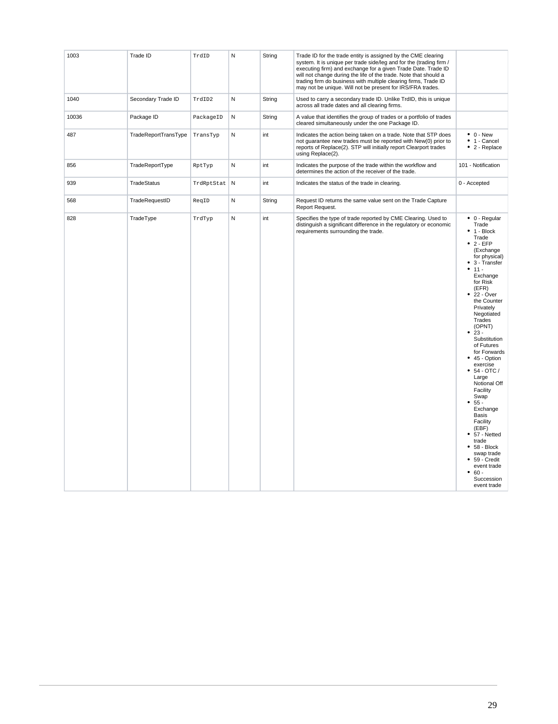| 1003  | Trade ID             | TrdID      | N           | String | Trade ID for the trade entity is assigned by the CME clearing<br>system. It is unique per trade side/leg and for the (trading firm /<br>executing firm) and exchange for a given Trade Date. Trade ID<br>will not change during the life of the trade. Note that should a<br>trading firm do business with multiple clearing firms, Trade ID<br>may not be unique. Will not be present for IRS/FRA trades. |                                                                                                                                                                                                                                                                                                                                                                                                                                                                                                                                                                                                 |
|-------|----------------------|------------|-------------|--------|------------------------------------------------------------------------------------------------------------------------------------------------------------------------------------------------------------------------------------------------------------------------------------------------------------------------------------------------------------------------------------------------------------|-------------------------------------------------------------------------------------------------------------------------------------------------------------------------------------------------------------------------------------------------------------------------------------------------------------------------------------------------------------------------------------------------------------------------------------------------------------------------------------------------------------------------------------------------------------------------------------------------|
| 1040  | Secondary Trade ID   | TrdID2     | N           | String | Used to carry a secondary trade ID. Unlike TrdID, this is unique<br>across all trade dates and all clearing firms.                                                                                                                                                                                                                                                                                         |                                                                                                                                                                                                                                                                                                                                                                                                                                                                                                                                                                                                 |
| 10036 | Package ID           | PackageID  | ${\sf N}$   | String | A value that identifies the group of trades or a portfolio of trades<br>cleared simultaneously under the one Package ID.                                                                                                                                                                                                                                                                                   |                                                                                                                                                                                                                                                                                                                                                                                                                                                                                                                                                                                                 |
| 487   | TradeReportTransType | TransTyp   | N           | int    | Indicates the action being taken on a trade. Note that STP does<br>not quarantee new trades must be reported with New(0) prior to<br>reports of Replace(2). STP will initially report Clearport trades<br>using Replace(2).                                                                                                                                                                                | $\bullet$ 0 - New<br>$\bullet$ 1 - Cancel<br>• 2 - Replace                                                                                                                                                                                                                                                                                                                                                                                                                                                                                                                                      |
| 856   | TradeReportType      | RptTyp     | N           | int    | Indicates the purpose of the trade within the workflow and<br>determines the action of the receiver of the trade.                                                                                                                                                                                                                                                                                          | 101 - Notification                                                                                                                                                                                                                                                                                                                                                                                                                                                                                                                                                                              |
| 939   | <b>TradeStatus</b>   | TrdRptStat | $\mathsf N$ | int    | Indicates the status of the trade in clearing.                                                                                                                                                                                                                                                                                                                                                             | 0 - Accepted                                                                                                                                                                                                                                                                                                                                                                                                                                                                                                                                                                                    |
| 568   | TradeRequestID       | ReqID      | N           | String | Request ID returns the same value sent on the Trade Capture<br>Report Request.                                                                                                                                                                                                                                                                                                                             |                                                                                                                                                                                                                                                                                                                                                                                                                                                                                                                                                                                                 |
| 828   | TradeType            | TrdTyp     | N           | int    | Specifies the type of trade reported by CME Clearing. Used to<br>distinguish a significant difference in the regulatory or economic<br>requirements surrounding the trade.                                                                                                                                                                                                                                 | $\bullet$ 0 - Regular<br>Trade<br>1 - Block<br>Trade<br>$• 2 - EFP$<br>(Exchange<br>for physical)<br>$• 3 - Transfer$<br>$• 11 -$<br>Exchange<br>for Risk<br>(EFR)<br>22 - Over<br>the Counter<br>Privately<br>Negotiated<br>Trades<br>(OPNT)<br>$23 -$<br>Substitution<br>of Futures<br>for Forwards<br>$• 45 - Option$<br>exercise<br>$• 54 - OTC /$<br>Large<br>Notional Off<br>Facility<br>Swap<br>$55 -$<br>Exchange<br><b>Basis</b><br>Facility<br>(EBF)<br>$• 57 - Netted$<br>trade<br>$• 58 - Block$<br>swap trade<br>59 - Credit<br>event trade<br>$60 -$<br>Succession<br>event trade |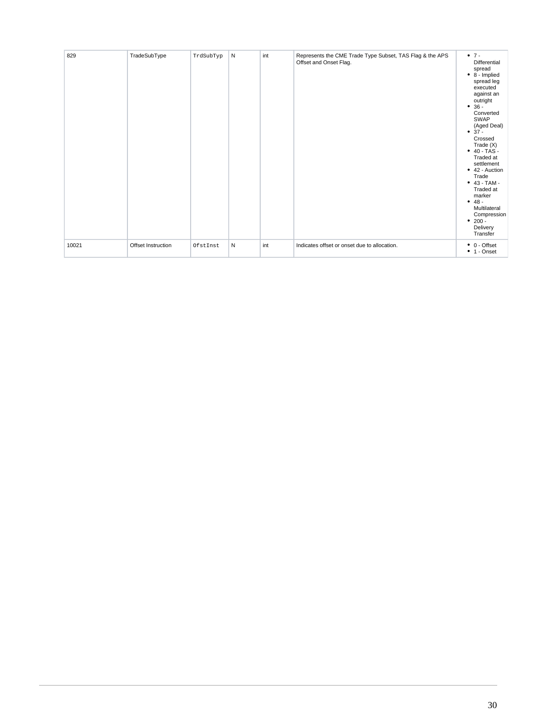| 829   | TradeSubType       | TrdSubTyp | N | int | Represents the CME Trade Type Subset, TAS Flag & the APS<br>Offset and Onset Flag. | $• 7 -$<br>Differential<br>spread<br>$\bullet$ 8 - Implied<br>spread leg<br>executed<br>against an<br>outright<br>$• 36 -$<br>Converted<br>SWAP<br>(Aged Deal)<br>$• 37 -$<br>Crossed<br>Trade (X)<br>$\bullet$ 40 - TAS -<br>Traded at<br>settlement<br>• 42 - Auction<br>Trade<br>$• 43 - TAM -$<br>Traded at<br>marker<br>$• 48 -$<br>Multilateral<br>Compression<br>$• 200 -$<br>Delivery<br>Transfer |
|-------|--------------------|-----------|---|-----|------------------------------------------------------------------------------------|-----------------------------------------------------------------------------------------------------------------------------------------------------------------------------------------------------------------------------------------------------------------------------------------------------------------------------------------------------------------------------------------------------------|
| 10021 | Offset Instruction | OfstInst  | N | int | Indicates offset or onset due to allocation.                                       | $\bullet$ 0 - Offset<br>$\bullet$ 1 - Onset                                                                                                                                                                                                                                                                                                                                                               |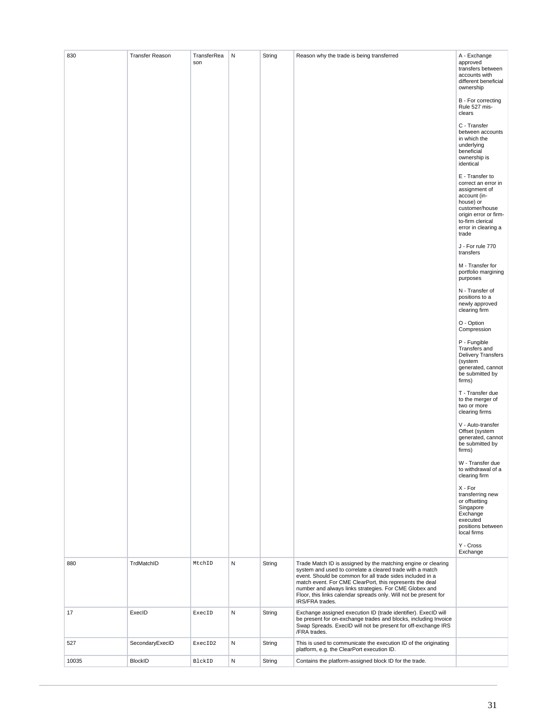| 830   | <b>Transfer Reason</b> | TransferRea<br>son | N | String | Reason why the trade is being transferred                                                                                                                                                                                                                                                                                                                                                            | A - Exchange<br>approved<br>transfers between<br>accounts with<br>different beneficial<br>ownership<br>B - For correcting<br>Rule 527 mis-<br>clears<br>C - Transfer<br>between accounts<br>in which the<br>underlying<br>beneficial<br>ownership is<br>identical<br>E - Transfer to<br>correct an error in<br>assignment of<br>account (in-<br>house) or<br>customer/house<br>origin error or firm-<br>to-firm clerical<br>error in clearing a<br>trade<br>J - For rule 770<br>transfers<br>M - Transfer for<br>portfolio margining<br>purposes<br>N - Transfer of<br>positions to a<br>newly approved<br>clearing firm<br>O - Option<br>Compression<br>P - Fungible<br>Transfers and<br><b>Delivery Transfers</b><br>(system<br>generated, cannot<br>be submitted by<br>firms)<br>T - Transfer due<br>to the merger of<br>two or more<br>clearing firms<br>V - Auto-transfer<br>Offset (system<br>generated, cannot<br>be submitted by<br>firms)<br>W - Transfer due<br>to withdrawal of a<br>clearing firm<br>X - For<br>transferring new<br>or offsetting<br>Singapore<br>Exchange<br>executed<br>positions between<br>local firms<br>Y - Cross |
|-------|------------------------|--------------------|---|--------|------------------------------------------------------------------------------------------------------------------------------------------------------------------------------------------------------------------------------------------------------------------------------------------------------------------------------------------------------------------------------------------------------|-----------------------------------------------------------------------------------------------------------------------------------------------------------------------------------------------------------------------------------------------------------------------------------------------------------------------------------------------------------------------------------------------------------------------------------------------------------------------------------------------------------------------------------------------------------------------------------------------------------------------------------------------------------------------------------------------------------------------------------------------------------------------------------------------------------------------------------------------------------------------------------------------------------------------------------------------------------------------------------------------------------------------------------------------------------------------------------------------------------------------------------------------------|
|       |                        |                    |   |        |                                                                                                                                                                                                                                                                                                                                                                                                      | Exchange                                                                                                                                                                                                                                                                                                                                                                                                                                                                                                                                                                                                                                                                                                                                                                                                                                                                                                                                                                                                                                                                                                                                            |
| 880   | TrdMatchID             | MtchID             | N | String | Trade Match ID is assigned by the matching engine or clearing<br>system and used to correlate a cleared trade with a match<br>event. Should be common for all trade sides included in a<br>match event. For CME ClearPort, this represents the deal<br>number and always links strategies. For CME Globex and<br>Floor, this links calendar spreads only. Will not be present for<br>IRS/FRA trades. |                                                                                                                                                                                                                                                                                                                                                                                                                                                                                                                                                                                                                                                                                                                                                                                                                                                                                                                                                                                                                                                                                                                                                     |
| 17    | ExecID                 | ExecID             | N | String | Exchange assigned execution ID (trade identifier). ExecID will<br>be present for on-exchange trades and blocks, including Invoice<br>Swap Spreads. ExecID will not be present for off-exchange IRS<br>/FRA trades.                                                                                                                                                                                   |                                                                                                                                                                                                                                                                                                                                                                                                                                                                                                                                                                                                                                                                                                                                                                                                                                                                                                                                                                                                                                                                                                                                                     |
| 527   | SecondaryExecID        | ExecID2            | N | String | This is used to communicate the execution ID of the originating<br>platform, e.g. the ClearPort execution ID.                                                                                                                                                                                                                                                                                        |                                                                                                                                                                                                                                                                                                                                                                                                                                                                                                                                                                                                                                                                                                                                                                                                                                                                                                                                                                                                                                                                                                                                                     |
| 10035 | <b>BlockID</b>         | BlckID             | N | String | Contains the platform-assigned block ID for the trade.                                                                                                                                                                                                                                                                                                                                               |                                                                                                                                                                                                                                                                                                                                                                                                                                                                                                                                                                                                                                                                                                                                                                                                                                                                                                                                                                                                                                                                                                                                                     |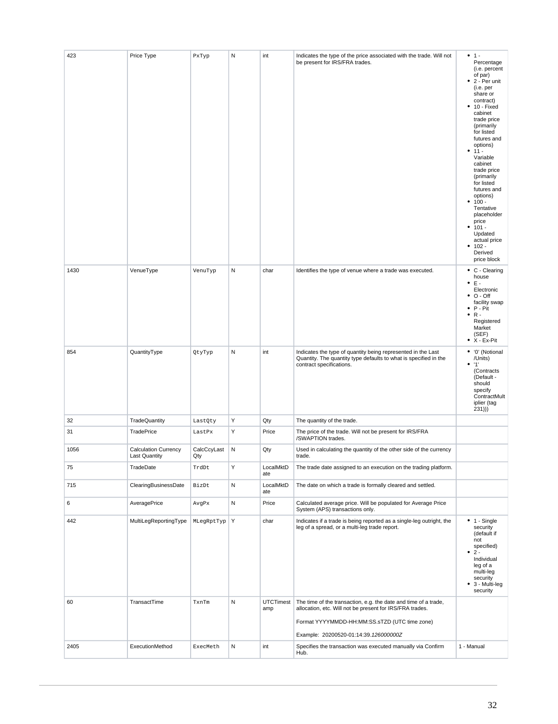| 423  | Price Type                                          | PxTyp              | N         | int              | Indicates the type of the price associated with the trade. Will not<br>be present for IRS/FRA trades.                                                        | $• 1 -$<br>Percentage<br>(i.e. percent<br>of par)<br>$\bullet$ 2 - Per unit<br>(i.e. per<br>share or<br>contract)<br>$• 10 - Fixed$<br>cabinet<br>trade price<br>(primarily<br>for listed<br>futures and<br>options)<br>$11 -$<br>٠<br>Variable<br>cabinet<br>trade price<br>(primarily<br>for listed<br>futures and<br>options)<br>$100 -$<br>Tentative<br>placeholder<br>price<br>$• 101 -$<br>Updated<br>actual price<br>$102 -$<br>٠<br>Derived<br>price block |
|------|-----------------------------------------------------|--------------------|-----------|------------------|--------------------------------------------------------------------------------------------------------------------------------------------------------------|--------------------------------------------------------------------------------------------------------------------------------------------------------------------------------------------------------------------------------------------------------------------------------------------------------------------------------------------------------------------------------------------------------------------------------------------------------------------|
| 1430 | VenueType                                           | VenuTyp            | N         | char             | Identifies the type of venue where a trade was executed.                                                                                                     | $\bullet$ C - Clearing                                                                                                                                                                                                                                                                                                                                                                                                                                             |
|      |                                                     |                    |           |                  |                                                                                                                                                              | house<br>E -<br>٠<br>Electronic<br>$\bullet$ O - Off<br>facility swap<br>P - Pit<br>٠<br>$\bullet$ R -<br>Registered<br>Market<br>(SEF)<br>$\bullet$ X - Ex-Pit                                                                                                                                                                                                                                                                                                    |
| 854  | QuantityType                                        | QtyTyp             | N         | int              | Indicates the type of quantity being represented in the Last<br>Quantity. The quantity type defaults to what is specified in the<br>contract specifications. | • '0' (Notional<br>/Units)<br>• 11'<br>(Contracts<br>(Default -<br>should<br>specify<br>ContractMult<br>iplier (tag<br>231))                                                                                                                                                                                                                                                                                                                                       |
| 32   | TradeQuantity                                       | LastQty            | Υ         | Qty              | The quantity of the trade.                                                                                                                                   |                                                                                                                                                                                                                                                                                                                                                                                                                                                                    |
| 31   | TradePrice                                          | LastPx             | Υ         | Price            | The price of the trade. Will not be present for IRS/FRA<br>/SWAPTION trades.                                                                                 |                                                                                                                                                                                                                                                                                                                                                                                                                                                                    |
| 1056 | <b>Calculation Currency</b><br><b>Last Quantity</b> | CalcCcyLast<br>Qty | N         | Qty              | Used in calculating the quantity of the other side of the currency<br>trade.                                                                                 |                                                                                                                                                                                                                                                                                                                                                                                                                                                                    |
| 75   | TradeDate                                           | TrdDt              | Υ         | LocalMktD<br>ate | The trade date assigned to an execution on the trading platform.                                                                                             |                                                                                                                                                                                                                                                                                                                                                                                                                                                                    |
| 715  | ClearingBusinessDate                                | BizDt              | ${\sf N}$ | LocalMktD<br>ate | The date on which a trade is formally cleared and settled.                                                                                                   |                                                                                                                                                                                                                                                                                                                                                                                                                                                                    |
| 6    | AveragePrice                                        | AvgPx              | N         | Price            | Calculated average price. Will be populated for Average Price<br>System (APS) transactions only.                                                             |                                                                                                                                                                                                                                                                                                                                                                                                                                                                    |
| 442  | MultiLegReportingType                               | MLegRptTyp         | Υ         | char             | Indicates if a trade is being reported as a single-leg outright, the<br>leg of a spread, or a multi-leg trade report.                                        | $\bullet$ 1 - Single<br>security<br>(default if<br>not<br>specified)<br>$2 -$<br>٠<br>Individual<br>leg of a<br>multi-leg<br>security<br>3 - Multi-leg<br>٠<br>security                                                                                                                                                                                                                                                                                            |
| 60   | TransactTime                                        | TxnTm              | ${\sf N}$ | <b>UTCTimest</b> | The time of the transaction, e.g. the date and time of a trade,                                                                                              |                                                                                                                                                                                                                                                                                                                                                                                                                                                                    |
|      |                                                     |                    |           | amp              | allocation, etc. Will not be present for IRS/FRA trades.<br>Format YYYYMMDD-HH:MM:SS.sTZD (UTC time zone)                                                    |                                                                                                                                                                                                                                                                                                                                                                                                                                                                    |
|      |                                                     |                    |           |                  | Example: 20200520-01:14:39.126000000Z                                                                                                                        |                                                                                                                                                                                                                                                                                                                                                                                                                                                                    |
| 2405 | ExecutionMethod                                     | ExecMeth           | N         | int              | Specifies the transaction was executed manually via Confirm<br>Hub.                                                                                          | 1 - Manual                                                                                                                                                                                                                                                                                                                                                                                                                                                         |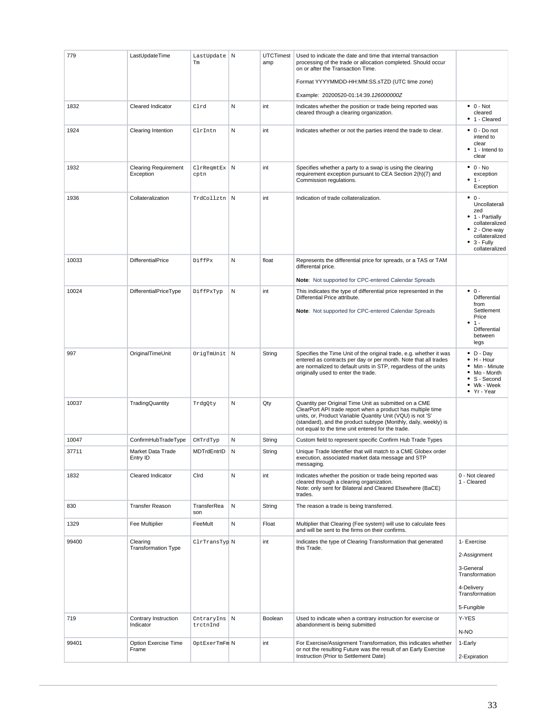| 779   | LastUpdateTime                           | LastUpdate N<br>$\rm{Tm}$ |   | <b>UTCTimest</b><br>amp | Used to indicate the date and time that internal transaction<br>processing of the trade or allocation completed. Should occur<br>on or after the Transaction Time.<br>Format YYYYMMDD-HH:MM:SS.sTZD (UTC time zone)                                                                                        |                                                                                                                                                                |
|-------|------------------------------------------|---------------------------|---|-------------------------|------------------------------------------------------------------------------------------------------------------------------------------------------------------------------------------------------------------------------------------------------------------------------------------------------------|----------------------------------------------------------------------------------------------------------------------------------------------------------------|
|       |                                          |                           |   |                         | Example: 20200520-01:14:39.126000000Z                                                                                                                                                                                                                                                                      |                                                                                                                                                                |
| 1832  | Cleared Indicator                        | Clrd                      | N | int                     | Indicates whether the position or trade being reported was<br>cleared through a clearing organization.                                                                                                                                                                                                     | $\bullet$ 0 - Not<br>cleared<br>• 1 - Cleared                                                                                                                  |
| 1924  | <b>Clearing Intention</b>                | ClrIntn                   | N | int                     | Indicates whether or not the parties intend the trade to clear.                                                                                                                                                                                                                                            | $\bullet$ 0 - Do not<br>intend to<br>clear<br>$\bullet$ 1 - Intend to<br>clear                                                                                 |
| 1932  | <b>Clearing Requirement</b><br>Exception | ClrReqmtEx N<br>cptn      |   | int                     | Specifies whether a party to a swap is using the clearing<br>requirement exception pursuant to CEA Section 2(h)(7) and<br>Commission regulations.                                                                                                                                                          | $\bullet$ 0 - No<br>exception<br>$1 -$<br>Exception                                                                                                            |
| 1936  | Collateralization                        | TrdCollztn N              |   | int                     | Indication of trade collateralization.                                                                                                                                                                                                                                                                     | $\bullet$ 0 -<br>Uncollaterali<br>zed<br>• 1 - Partially<br>collateralized<br>$\bullet$ 2 - One-way<br>collateralized<br>$\bullet$ 3 - Fully<br>collateralized |
| 10033 | <b>DifferentialPrice</b>                 | DiffPx                    | N | float                   | Represents the differential price for spreads, or a TAS or TAM<br>differental price.                                                                                                                                                                                                                       |                                                                                                                                                                |
|       |                                          |                           |   |                         | Note: Not supported for CPC-entered Calendar Spreads                                                                                                                                                                                                                                                       |                                                                                                                                                                |
| 10024 | DifferentialPriceType                    | DiffPxTyp                 | N | int                     | This indicates the type of differential price represented in the<br>Differential Price attribute.<br>Note: Not supported for CPC-entered Calendar Spreads                                                                                                                                                  | $\bullet$ 0 -<br><b>Differential</b><br>from<br>Settlement<br>Price<br>$1 -$<br>Differential<br>between<br>legs                                                |
| 997   | OriginalTimeUnit                         | OrigTmUnit N              |   | String                  | Specifies the Time Unit of the original trade, e.g. whether it was<br>entered as contracts per day or per month. Note that all trades<br>are normalized to default units in STP, regardless of the units<br>originally used to enter the trade.                                                            | $\bullet$ D - Day<br>$\bullet$ H - Hour<br>• Min - Minute<br>Mo - Month<br>S - Second<br>• Wk - Week<br>• Yr - Year                                            |
| 10037 | TradingQuantity                          | TrdgQty                   | N | Qty                     | Quantity per Original Time Unit as submitted on a CME<br>ClearPort API trade report when a product has multiple time<br>units, or, Product Variable Quantity Unit (VQU) is not 'S'<br>(standard), and the product subtype (Monthly, daily, weekly) is<br>not equal to the time unit entered for the trade. |                                                                                                                                                                |
| 10047 | ConfirmHubTradeType                      | CHTrdTyp                  | N | String                  | Custom field to represent specific Confirm Hub Trade Types                                                                                                                                                                                                                                                 |                                                                                                                                                                |
| 37711 | Market Data Trade<br>Entry ID            | MDTrdEntrID               | N | String                  | Unique Trade Identifier that will match to a CME Globex order<br>execution, associated market data message and STP<br>messaging.                                                                                                                                                                           |                                                                                                                                                                |
| 1832  | Cleared Indicator                        | Cird                      | N | int                     | Indicates whether the position or trade being reported was<br>cleared through a clearing organization.<br>Note: only sent for Bilateral and Cleared Elsewhere (BaCE)<br>trades.                                                                                                                            | 0 - Not cleared<br>1 - Cleared                                                                                                                                 |
| 830   | <b>Transfer Reason</b>                   | TransferRea<br>son        | N | String                  | The reason a trade is being transferred.                                                                                                                                                                                                                                                                   |                                                                                                                                                                |
| 1329  | Fee Multiplier                           | FeeMult                   | N | Float                   | Multiplier that Clearing (Fee system) will use to calculate fees<br>and will be sent to the firms on their confirms.                                                                                                                                                                                       |                                                                                                                                                                |
| 99400 | Clearing<br><b>Transformation Type</b>   | ClrTransTyp N             |   | int                     | Indicates the type of Clearing Transformation that generated<br>this Trade.                                                                                                                                                                                                                                | 1- Exercise<br>2-Assignment<br>3-General<br>Transformation<br>4-Delivery<br>Transformation<br>5-Fungible                                                       |
| 719   | Contrary Instruction<br>Indicator        | CntraryIns N<br>trctnInd  |   | Boolean                 | Used to indicate when a contrary instruction for exercise or<br>abandonment is being submitted                                                                                                                                                                                                             | Y-YES<br>N-NO                                                                                                                                                  |
| 99401 | Option Exercise Time                     | OptExerTmFm N             |   | int                     | For Exercise/Assignment Transformation, this indicates whether                                                                                                                                                                                                                                             | 1-Early                                                                                                                                                        |
|       | Frame                                    |                           |   |                         | or not the resulting Future was the result of an Early Exercise<br>Instruction (Prior to Settlement Date)                                                                                                                                                                                                  | 2-Expiration                                                                                                                                                   |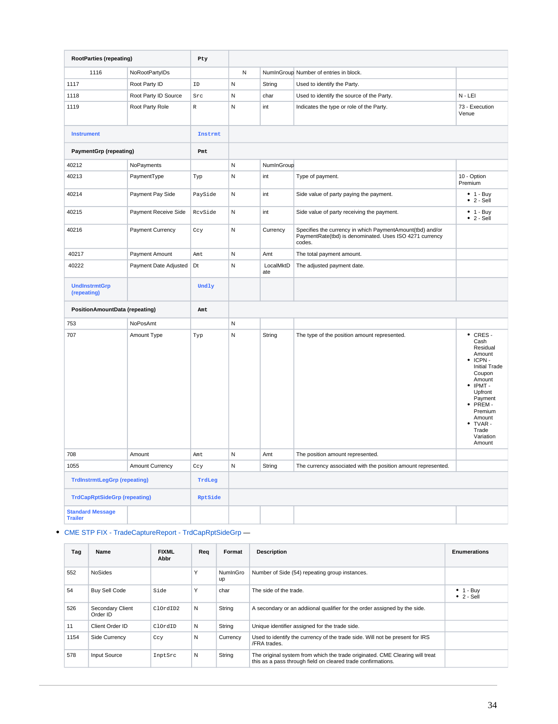| <b>RootParties (repeating)</b>            |                       | Pty            |              |                  |                                                                                                                                |                                                                                                                                                                                                         |
|-------------------------------------------|-----------------------|----------------|--------------|------------------|--------------------------------------------------------------------------------------------------------------------------------|---------------------------------------------------------------------------------------------------------------------------------------------------------------------------------------------------------|
| 1116                                      | NoRootPartyIDs        |                | N            |                  | NumInGroup Number of entries in block.                                                                                         |                                                                                                                                                                                                         |
| 1117                                      | Root Party ID         | ID             | N            | String           | Used to identify the Party.                                                                                                    |                                                                                                                                                                                                         |
| 1118                                      | Root Party ID Source  | Src            | N            | char             | Used to identify the source of the Party.                                                                                      | $N - LEI$                                                                                                                                                                                               |
| 1119                                      | Root Party Role       | $\,$ R         | N            | int              | Indicates the type or role of the Party.                                                                                       | 73 - Execution<br>Venue                                                                                                                                                                                 |
| <b>Instrument</b>                         |                       | Instrmt        |              |                  |                                                                                                                                |                                                                                                                                                                                                         |
| <b>PaymentGrp (repeating)</b>             |                       | Pmt            |              |                  |                                                                                                                                |                                                                                                                                                                                                         |
| 40212                                     | NoPayments            |                | N            | NumInGroup       |                                                                                                                                |                                                                                                                                                                                                         |
| 40213                                     | PaymentType           | Typ            | N            | int              | Type of payment.                                                                                                               | 10 - Option<br>Premium                                                                                                                                                                                  |
| 40214                                     | Payment Pay Side      | PaySide        | N            | int              | Side value of party paying the payment.                                                                                        | $• 1 - Buy$<br>$\bullet$ 2 - Sell                                                                                                                                                                       |
| 40215                                     | Payment Receive Side  | RcvSide        | N            | int              | Side value of party receiving the payment.                                                                                     | $• 1 - Buy$<br>$\bullet$ 2 - Sell                                                                                                                                                                       |
| 40216                                     | Payment Currency      | Ccy            | $\mathsf{N}$ | Currency         | Specifies the currency in which PaymentAmount(tbd) and/or<br>PaymentRate(tbd) is denominated. Uses ISO 4271 currency<br>codes. |                                                                                                                                                                                                         |
| 40217                                     | Payment Amount        | Amt            | $\mathsf N$  | Amt              | The total payment amount.                                                                                                      |                                                                                                                                                                                                         |
| 40222                                     | Payment Date Adjusted | Dt             | N            | LocalMktD<br>ate | The adjusted payment date.                                                                                                     |                                                                                                                                                                                                         |
| <b>UndInstrmtGrp</b><br>(repeating)       |                       | Undly          |              |                  |                                                                                                                                |                                                                                                                                                                                                         |
| PositionAmountData (repeating)            |                       | Amt            |              |                  |                                                                                                                                |                                                                                                                                                                                                         |
| 753                                       | NoPosAmt              |                | N            |                  |                                                                                                                                |                                                                                                                                                                                                         |
| 707                                       | Amount Type           | Typ            | $\mathsf N$  | String           | The type of the position amount represented.                                                                                   | $\cdot$ CRES -<br>Cash<br>Residual<br>Amount<br>ICPN-<br><b>Initial Trade</b><br>Coupon<br>Amount<br>IPMT-<br>Upfront<br>Payment<br>PREM-<br>Premium<br>Amount<br>TVAR-<br>Trade<br>Variation<br>Amount |
| 708                                       | Amount                | Amt            | $\mathsf N$  | Amt              | The position amount represented.                                                                                               |                                                                                                                                                                                                         |
| 1055                                      | Amount Currency       | Ccy            | N            | String           | The currency associated with the position amount represented.                                                                  |                                                                                                                                                                                                         |
| <b>TrdInstrmtLegGrp (repeating)</b>       |                       | TrdLeg         |              |                  |                                                                                                                                |                                                                                                                                                                                                         |
| <b>TrdCapRptSideGrp (repeating)</b>       |                       | <b>RptSide</b> |              |                  |                                                                                                                                |                                                                                                                                                                                                         |
| <b>Standard Message</b><br><b>Trailer</b> |                       |                |              |                  |                                                                                                                                |                                                                                                                                                                                                         |

[CME STP FIX - TradeCaptureReport - TrdCapRptSideGrp](https://www.cmegroup.com/confluence/display/EPICSANDBOX/CME+STP+FIX+-+TradeCaptureReport+-+TrdCapRptSideGrp) —

| Tag  | Name                         | <b>FIXML</b><br>Abbr | Req | Format         | <b>Description</b>                                                                                                                           | <b>Enumerations</b>                     |
|------|------------------------------|----------------------|-----|----------------|----------------------------------------------------------------------------------------------------------------------------------------------|-----------------------------------------|
| 552  | <b>NoSides</b>               |                      | Y   | NumInGro<br>up | Number of Side (54) repeating group instances.                                                                                               |                                         |
| 54   | <b>Buy Sell Code</b>         | Side                 | Υ   | char           | The side of the trade.                                                                                                                       | $\bullet$ 1 - Buy<br>$\bullet$ 2 - Sell |
| 526  | Secondary Client<br>Order ID | ClOrdID2             | N   | String         | A secondary or an addiional qualifier for the order assigned by the side.                                                                    |                                         |
| 11   | Client Order ID              | ClOrdID              | N   | String         | Unique identifier assigned for the trade side.                                                                                               |                                         |
| 1154 | Side Currency                | Ccy                  | N   | Currency       | Used to identify the currency of the trade side. Will not be present for IRS<br>/FRA trades.                                                 |                                         |
| 578  | Input Source                 | InptSrc              | N   | String         | The original system from which the trade originated. CME Clearing will treat<br>this as a pass through field on cleared trade confirmations. |                                         |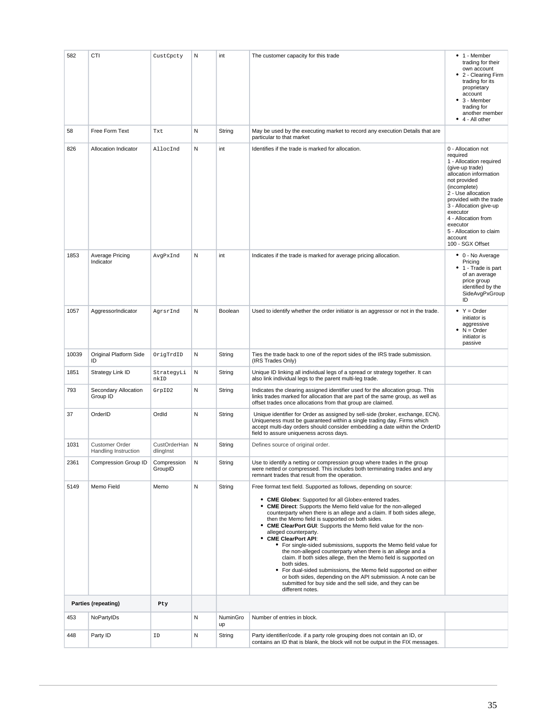| 582   | CTI                                           | CustCpcty                   | N | int            | The customer capacity for this trade                                                                                                                                                                                                                                                                                                                                                                                                                                                                                                                                                                                                                                                                                                                                                                                                                                                        | $\bullet$ 1 - Member<br>trading for their<br>own account<br>• 2 - Clearing Firm<br>trading for its<br>proprietary<br>account<br>$\bullet$ 3 - Member<br>trading for<br>another member<br>$\bullet$ 4 - All other                                                                                                           |
|-------|-----------------------------------------------|-----------------------------|---|----------------|---------------------------------------------------------------------------------------------------------------------------------------------------------------------------------------------------------------------------------------------------------------------------------------------------------------------------------------------------------------------------------------------------------------------------------------------------------------------------------------------------------------------------------------------------------------------------------------------------------------------------------------------------------------------------------------------------------------------------------------------------------------------------------------------------------------------------------------------------------------------------------------------|----------------------------------------------------------------------------------------------------------------------------------------------------------------------------------------------------------------------------------------------------------------------------------------------------------------------------|
| 58    | Free Form Text                                | Txt                         | N | String         | May be used by the executing market to record any execution Details that are<br>particular to that market                                                                                                                                                                                                                                                                                                                                                                                                                                                                                                                                                                                                                                                                                                                                                                                   |                                                                                                                                                                                                                                                                                                                            |
| 826   | Allocation Indicator                          | AllocInd                    | Ν | int            | Identifies if the trade is marked for allocation.                                                                                                                                                                                                                                                                                                                                                                                                                                                                                                                                                                                                                                                                                                                                                                                                                                           | 0 - Allocation not<br>required<br>1 - Allocation required<br>(give-up trade)<br>allocation information<br>not provided<br>(incomplete)<br>2 - Use allocation<br>provided with the trade<br>3 - Allocation give-up<br>executor<br>4 - Allocation from<br>executor<br>5 - Allocation to claim<br>account<br>100 - SGX Offset |
| 1853  | Average Pricing<br>Indicator                  | AvgPxInd                    | N | int            | Indicates if the trade is marked for average pricing allocation.                                                                                                                                                                                                                                                                                                                                                                                                                                                                                                                                                                                                                                                                                                                                                                                                                            | • 0 - No Average<br>Pricing<br>• 1 - Trade is part<br>of an average<br>price group<br>identified by the<br>SideAvgPxGroup<br>ID                                                                                                                                                                                            |
| 1057  | AggressorIndicator                            | AqrsrInd                    | N | Boolean        | Used to identify whether the order initiator is an aggressor or not in the trade.                                                                                                                                                                                                                                                                                                                                                                                                                                                                                                                                                                                                                                                                                                                                                                                                           | • $Y = Order$<br>initiator is<br>aggressive<br>$\bullet$ N = Order<br>initiator is<br>passive                                                                                                                                                                                                                              |
| 10039 | Original Platform Side<br>ID                  | OrigTrdID                   | N | String         | Ties the trade back to one of the report sides of the IRS trade submission.<br>(IRS Trades Only)                                                                                                                                                                                                                                                                                                                                                                                                                                                                                                                                                                                                                                                                                                                                                                                            |                                                                                                                                                                                                                                                                                                                            |
| 1851  | Strategy Link ID                              | StrategyLi<br>nkID          | N | String         | Unique ID linking all individual legs of a spread or strategy together. It can<br>also link individual legs to the parent multi-leg trade.                                                                                                                                                                                                                                                                                                                                                                                                                                                                                                                                                                                                                                                                                                                                                  |                                                                                                                                                                                                                                                                                                                            |
| 793   | Secondary Allocation<br>Group ID              | GrpID2                      | Ν | String         | Indicates the clearing assigned identifier used for the allocation group. This<br>links trades marked for allocation that are part of the same group, as well as<br>offset trades once allocations from that group are claimed.                                                                                                                                                                                                                                                                                                                                                                                                                                                                                                                                                                                                                                                             |                                                                                                                                                                                                                                                                                                                            |
| 37    | OrderID                                       | OrdId                       | N | String         | Unique identifier for Order as assigned by sell-side (broker, exchange, ECN).<br>Uniqueness must be guaranteed within a single trading day. Firms which<br>accept multi-day orders should consider embedding a date within the OrderID<br>field to assure uniqueness across days.                                                                                                                                                                                                                                                                                                                                                                                                                                                                                                                                                                                                           |                                                                                                                                                                                                                                                                                                                            |
| 1031  | <b>Customer Order</b><br>Handling Instruction | CustOrderHan N<br>dlingInst |   | String         | Defines source of original order.                                                                                                                                                                                                                                                                                                                                                                                                                                                                                                                                                                                                                                                                                                                                                                                                                                                           |                                                                                                                                                                                                                                                                                                                            |
| 2361  | Compression Group ID                          | Compression<br>GroupID      | N | String         | Use to identify a netting or compression group where trades in the group<br>were netted or compressed. This includes both terminating trades and any<br>remnant trades that result from the operation.                                                                                                                                                                                                                                                                                                                                                                                                                                                                                                                                                                                                                                                                                      |                                                                                                                                                                                                                                                                                                                            |
| 5149  | Memo Field                                    | Memo                        | N | String         | Free format text field. Supported as follows, depending on source:<br>• CME Globex: Supported for all Globex-entered trades.<br>• CME Direct: Supports the Memo field value for the non-alleged<br>counterparty when there is an allege and a claim. If both sides allege,<br>then the Memo field is supported on both sides.<br>• CME ClearPort GUI: Supports the Memo field value for the non-<br>alleged counterparty.<br>• CME ClearPort API:<br>• For single-sided submissions, supports the Memo field value for<br>the non-alleged counterparty when there is an allege and a<br>claim. If both sides allege, then the Memo field is supported on<br>both sides.<br>For dual-sided submissions, the Memo field supported on either<br>or both sides, depending on the API submission. A note can be<br>submitted for buy side and the sell side, and they can be<br>different notes. |                                                                                                                                                                                                                                                                                                                            |
|       | Parties (repeating)                           | Pty                         |   |                |                                                                                                                                                                                                                                                                                                                                                                                                                                                                                                                                                                                                                                                                                                                                                                                                                                                                                             |                                                                                                                                                                                                                                                                                                                            |
| 453   | NoPartyIDs                                    |                             | N | NuminGro<br>up | Number of entries in block.                                                                                                                                                                                                                                                                                                                                                                                                                                                                                                                                                                                                                                                                                                                                                                                                                                                                 |                                                                                                                                                                                                                                                                                                                            |
| 448   | Party ID                                      | ID                          | N | String         | Party identifier/code. if a party role grouping does not contain an ID, or<br>contains an ID that is blank, the block will not be output in the FIX messages.                                                                                                                                                                                                                                                                                                                                                                                                                                                                                                                                                                                                                                                                                                                               |                                                                                                                                                                                                                                                                                                                            |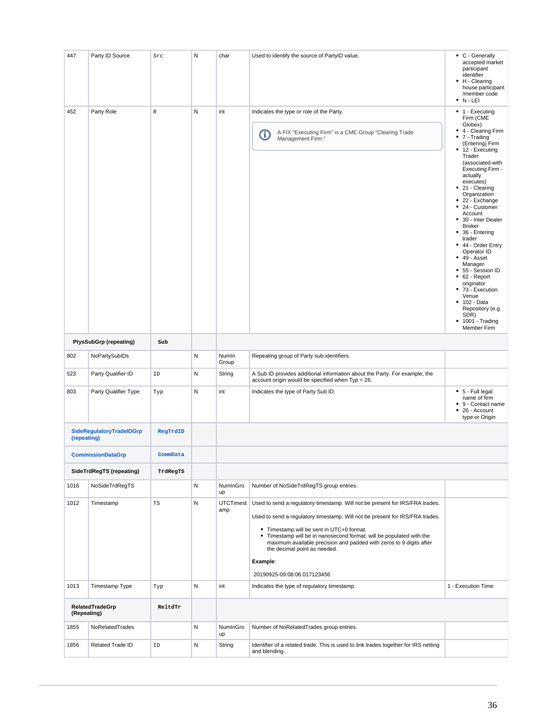| 447                                                 | Party ID Source          | Src         | N | char                    | Used to identify the source of PartyID value.                                                                                                                                                                                                                                                                                                                                                                                       | • C - Generally<br>accepted market<br>participant<br>identifier<br>• H - Clearing<br>house participant<br>/member code<br>$\bullet$ N - LEI                                                                                                                                                                                                                                                                                                                                                                                                                                                                              |
|-----------------------------------------------------|--------------------------|-------------|---|-------------------------|-------------------------------------------------------------------------------------------------------------------------------------------------------------------------------------------------------------------------------------------------------------------------------------------------------------------------------------------------------------------------------------------------------------------------------------|--------------------------------------------------------------------------------------------------------------------------------------------------------------------------------------------------------------------------------------------------------------------------------------------------------------------------------------------------------------------------------------------------------------------------------------------------------------------------------------------------------------------------------------------------------------------------------------------------------------------------|
| 452                                                 | Party Role               | $\mathbb R$ | N | int                     | Indicates the type or role of the Party.<br>A FIX "Executing Firm" is a CME Group "Clearing Trade<br>Ο<br>Management Firm."                                                                                                                                                                                                                                                                                                         | • 1 - Executing<br>Firm (CME<br>Globex)<br>• 4 - Clearing Firm<br>$\bullet$ 7 - Trading<br>(Entering) Firm<br>• 12 - Executing<br>Trader<br>(associated with<br>Executing Firm -<br>actually<br>executes)<br>• 21 - Clearing<br>Organization<br>• 22 - Exchange<br>24 - Customer<br>٠<br>Account<br>30 - Inter Dealer<br>٠<br><b>Broker</b><br>36 - Entering<br>٠<br>trader<br>• 44 - Order Entry<br>Operator ID<br>$-49 - Asset$<br>Manager<br>• 55 - Session ID<br>$• 62 - Report$<br>originator<br>• 73 - Execution<br>Venue<br>$• 102 - Data$<br>Repository (e.g.<br>SDR)<br>$\bullet$ 1001 - Trading<br>Member Firm |
| <b>PtysSubGrp (repeating)</b>                       |                          | Sub         |   |                         |                                                                                                                                                                                                                                                                                                                                                                                                                                     |                                                                                                                                                                                                                                                                                                                                                                                                                                                                                                                                                                                                                          |
| 802                                                 | NoPartySubIDs            |             | N | Numin<br>Group          | Repeating group of Party sub-identifiers.                                                                                                                                                                                                                                                                                                                                                                                           |                                                                                                                                                                                                                                                                                                                                                                                                                                                                                                                                                                                                                          |
| 523                                                 | Party Qualifier ID       | ID          | N | String                  | A Sub ID provides additional information about the Party. For example, the<br>account origin would be specified when Typ = 26.                                                                                                                                                                                                                                                                                                      |                                                                                                                                                                                                                                                                                                                                                                                                                                                                                                                                                                                                                          |
| 803                                                 | Party Qualifier Type     | Typ         | N | int                     | Indicates the type of Party Sub ID.                                                                                                                                                                                                                                                                                                                                                                                                 | • 5 - Full legal<br>name of firm<br>9 - Contact name<br>$• 26 - Account$<br>type or Origin                                                                                                                                                                                                                                                                                                                                                                                                                                                                                                                               |
| SideRegulatoryTradeIDGrp<br>RegTrdID<br>(repeating) |                          |             |   |                         |                                                                                                                                                                                                                                                                                                                                                                                                                                     |                                                                                                                                                                                                                                                                                                                                                                                                                                                                                                                                                                                                                          |
| <b>CommissionDataGrp</b><br>CommData                |                          |             |   |                         |                                                                                                                                                                                                                                                                                                                                                                                                                                     |                                                                                                                                                                                                                                                                                                                                                                                                                                                                                                                                                                                                                          |
|                                                     | SideTrdRegTS (repeating) | TrdRegTS    |   |                         |                                                                                                                                                                                                                                                                                                                                                                                                                                     |                                                                                                                                                                                                                                                                                                                                                                                                                                                                                                                                                                                                                          |
| 1016                                                | NoSideTrdRegTS           |             | N | NumInGro<br>up          | Number of NoSideTrdRegTS group entries.                                                                                                                                                                                                                                                                                                                                                                                             |                                                                                                                                                                                                                                                                                                                                                                                                                                                                                                                                                                                                                          |
| 1012                                                | Timestamp                | TS          | N | <b>UTCTimest</b><br>amp | Used to send a regulatory timestamp. Will not be present for IRS/FRA trades.<br>Used to send a regulatory timestamp. Will not be present for IRS/FRA trades.<br>• Timestamp will be sent in UTC+0 format.<br>• Timestamp will be in nanosecond format; will be populated with the<br>maximum available precision and padded with zeros to 9 digits after<br>the decimal point as needed.<br>Example:<br>20190925-09:08:06.017123456 |                                                                                                                                                                                                                                                                                                                                                                                                                                                                                                                                                                                                                          |
| 1013                                                | Timestamp Type           | Typ         | N | int                     | Indicates the type of regulatory timestamp.                                                                                                                                                                                                                                                                                                                                                                                         | 1 - Execution Time                                                                                                                                                                                                                                                                                                                                                                                                                                                                                                                                                                                                       |
| RelatedTradeGrp<br>ReltdTr<br>(Repeating)           |                          |             |   |                         |                                                                                                                                                                                                                                                                                                                                                                                                                                     |                                                                                                                                                                                                                                                                                                                                                                                                                                                                                                                                                                                                                          |
| 1855                                                | NoRelatedTrades          |             | N | NumInGro<br>up          | Number of NoRelatedTrades group entries.                                                                                                                                                                                                                                                                                                                                                                                            |                                                                                                                                                                                                                                                                                                                                                                                                                                                                                                                                                                                                                          |
| 1856                                                | Related Trade ID         | ID          | N | String                  | Identifier of a related trade. This is used to link trades together for IRS netting<br>and blending.                                                                                                                                                                                                                                                                                                                                |                                                                                                                                                                                                                                                                                                                                                                                                                                                                                                                                                                                                                          |
|                                                     |                          |             |   |                         |                                                                                                                                                                                                                                                                                                                                                                                                                                     |                                                                                                                                                                                                                                                                                                                                                                                                                                                                                                                                                                                                                          |